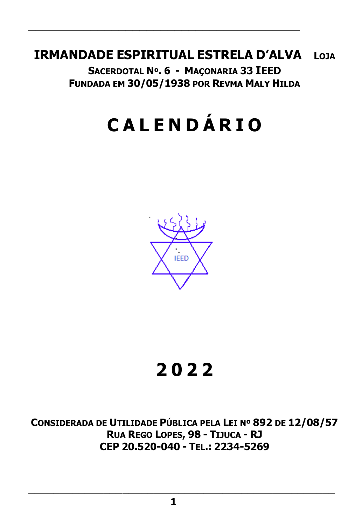# **IRMANDADE ESPIRITUAL ESTRELA D'ALVA LOJA**

\_\_\_\_\_\_\_\_\_\_\_\_\_\_\_\_\_\_\_\_\_\_\_\_\_\_\_\_\_\_\_\_\_\_\_\_\_\_\_

**SACERDOTAL Nº. 6 - MAÇONARIA 33 IEED FUNDADA EM 30/05/1938 POR REVMA MALY HILDA**

# **C A L E N D Á R I O**



# **2 0 2 2**

**CONSIDERADA DE UTILIDADE PÚBLICA PELA LEI Nº 892 DE 12/08/57 RUA REGO LOPES, 98 - TIJUCA - RJ CEP 20.520-040 - TEL.: 2234-5269**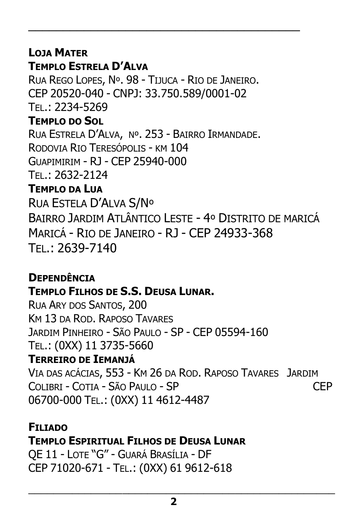# **LOJA MATER**

# **TEMPLO ESTRELA D'ALVA**

RUA REGO LOPES, Nº. 98 - TIJUCA - RIO DE JANEIRO. CEP 20520-040 - CNPJ: 33.750.589/0001-02 TEL.: 2234-5269 **TEMPLO DO SOL** RUA ESTRELA D'ALVA, Nº. 253 - BAIRRO IRMANDADE. RODOVIA RIO TERESÓPOLIS - KM 104 GUAPIMIRIM - RJ - CEP 25940-000 TEL.: 2632-2124 **TEMPLO DA LUA** RUA ESTELA D'ALVA S/Nº BAIRRO JARDIM ATLÂNTICO LESTE - 4º DISTRITO DE MARICÁ MARICÁ - RIO DE JANEIRO - RJ - CEP 24933-368 TEL.: 2639-7140

\_\_\_\_\_\_\_\_\_\_\_\_\_\_\_\_\_\_\_\_\_\_\_\_\_\_\_\_\_\_\_\_\_\_\_\_\_\_\_

# **DEPENDÊNCIA TEMPLO FILHOS DE S.S. DEUSA LUNAR.**

RUA ARY DOS SANTOS, 200 KM 13 DA ROD. RAPOSO TAVARES JARDIM PINHEIRO - SÃO PAULO - SP - CEP 05594-160 TEL.: (0XX) 11 3735-5660

# **TERREIRO DE IEMANJÁ**

VIA DAS ACÁCIAS, 553 - KM 26 DA ROD. RAPOSO TAVARES JARDIM COLIBRI - COTIA - SÃO PAULO - SP CEP 06700-000 TEL.: (0XX) 11 4612-4487

### **FILIADO**

# **TEMPLO ESPIRITUAL FILHOS DE DEUSA LUNAR**

QE 11 - LOTE "G" - GUARÁ BRASÍLIA - DF CEP 71020-671 - TEL.: (0XX) 61 9612-618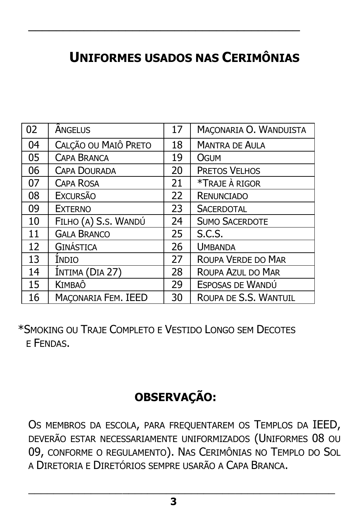# **UNIFORMES USADOS NAS CERIMÔNIAS**

\_\_\_\_\_\_\_\_\_\_\_\_\_\_\_\_\_\_\_\_\_\_\_\_\_\_\_\_\_\_\_\_\_\_\_\_\_\_\_

| 02 | <b>ANGELUS</b>       | 17 | MAÇONARIA O. WANDUISTA |
|----|----------------------|----|------------------------|
| 04 | CALÇÃO OU MAIÔ PRETO | 18 | <b>MANTRA DE AULA</b>  |
| 05 | <b>CAPA BRANCA</b>   | 19 | OGUM                   |
| 06 | <b>CAPA DOURADA</b>  | 20 | <b>PRETOS VELHOS</b>   |
| 07 | <b>CAPA ROSA</b>     | 21 | *TRAJE À RIGOR         |
| 08 | <b>EXCURSÃO</b>      | 22 | <b>RENUNCIADO</b>      |
| 09 | <b>EXTERNO</b>       | 23 | <b>SACERDOTAL</b>      |
| 10 | FILHO (A) S.S. WANDÚ | 24 | <b>SUMO SACERDOTE</b>  |
| 11 | <b>GALA BRANCO</b>   | 25 | S.C.S.                 |
| 12 | <b>GINÁSTICA</b>     | 26 | <b>UMBANDA</b>         |
| 13 | Indio                | 27 | ROUPA VERDE DO MAR     |
| 14 | INTIMA (DIA 27)      | 28 | ROUPA AZUL DO MAR      |
| 15 | KIMBAÔ               | 29 | ESPOSAS DE WANDÚ       |
| 16 | MACONARIA FEM. IEED  | 30 | ROUPA DE S.S. WANTUIL  |

 \*SMOKING OU TRAJE COMPLETO E VESTIDO LONGO SEM DECOTES E FENDAS.

# **OBSERVAÇÃO:**

OS MEMBROS DA ESCOLA, PARA FREQUENTAREM OS TEMPLOS DA IEED, DEVERÃO ESTAR NECESSARIAMENTE UNIFORMIZADOS (UNIFORMES 08 OU 09, CONFORME O REGULAMENTO). NAS CERIMÔNIAS NO TEMPLO DO SOL A DIRETORIA E DIRETÓRIOS SEMPRE USARÃO A CAPA BRANCA.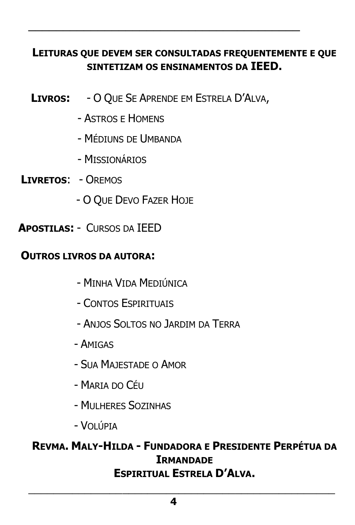# **LEITURAS QUE DEVEM SER CONSULTADAS FREQUENTEMENTE E QUE SINTETIZAM OS ENSINAMENTOS DA IEED.**

\_\_\_\_\_\_\_\_\_\_\_\_\_\_\_\_\_\_\_\_\_\_\_\_\_\_\_\_\_\_\_\_\_\_\_\_\_\_\_

- **LIVROS:** O QUE SE APRENDE EM ESTRELA D'ALVA,
	- ASTROS E HOMENS
	- MÉDIUNS DE UMBANDA
	- MISSIONÁRIOS
- **LIVRETOS**: OREMOS
	- O QUE DEVO FAZER HOJE
- **APOSTILAS:** CURSOS DA IEED

### **OUTROS LIVROS DA AUTORA:**

- MINHA VIDA MEDIÚNICA
- CONTOS ESPIRITUAIS
- ANJOS SOLTOS NO JARDIM DA TERRA
- AMIGAS
- SUA MAJESTADE O AMOR
- $-$  Maria do Céu
- MULHERES SOZINHAS
- VOLÚPIA

### **REVMA. MALY-HILDA - FUNDADORA E PRESIDENTE PERPÉTUA DA IRMANDADE ESPIRITUAL ESTRELA D'ALVA.**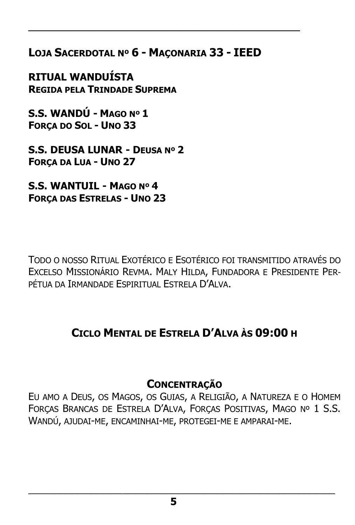**LOJA SACERDOTAL Nº 6 - MAÇONARIA 33 - IEED**

\_\_\_\_\_\_\_\_\_\_\_\_\_\_\_\_\_\_\_\_\_\_\_\_\_\_\_\_\_\_\_\_\_\_\_\_\_\_\_

**RITUAL WANDUÍSTA REGIDA PELA TRINDADE SUPREMA**

**S.S. WANDÚ - MAGO Nº 1 FORÇA DO SOL - UNO 33**

**S.S. DEUSA LUNAR - DEUSA Nº 2 FORÇA DA LUA - UNO 27**

**S.S. WANTUIL - MAGO Nº 4 FORÇA DAS ESTRELAS - UNO 23**

TODO O NOSSO RITUAL EXOTÉRICO E ESOTÉRICO FOI TRANSMITIDO ATRAVÉS DO EXCELSO MISSIONÁRIO REVMA. MALY HILDA, FUNDADORA E PRESIDENTE PER-PÉTUA DA IRMANDADE ESPIRITUAL ESTRELA D'ALVA.

# **CICLO MENTAL DE ESTRELA D'ALVA ÀS 09:00 H**

# **CONCENTRAÇÃO**

EU AMO A DEUS, OS MAGOS, OS GUIAS, A RELIGIÃO, A NATUREZA E O HOMEM FORÇAS BRANCAS DE ESTRELA D'ALVA, FORÇAS POSITIVAS, MAGO Nº 1 S.S. WANDÚ, AJUDAI-ME, ENCAMINHAI-ME, PROTEGEI-ME E AMPARAI-ME.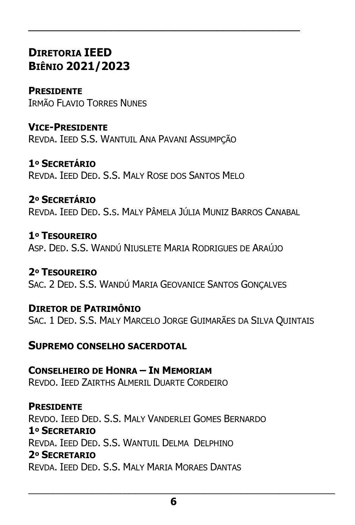# **DIRETORIA IEED BIÊNIO 2021/2023**

**PRESIDENTE**  IRMÃO FLAVIO TORRES NUNES

**VICE-PRESIDENTE** REVDA. IEED S.S. WANTUIL ANA PAVANI ASSUMPÇÃO

**1º SECRETÁRIO** REVDA. IEED DED. S.S. MALY ROSE DOS SANTOS MELO

**2º SECRETÁRIO** REVDA. IEED DED. S.S. MALY PÂMELA JÚLIA MUNIZ BARROS CANABAL

\_\_\_\_\_\_\_\_\_\_\_\_\_\_\_\_\_\_\_\_\_\_\_\_\_\_\_\_\_\_\_\_\_\_\_\_\_\_\_

**1º TESOUREIRO** ASP. DED. S.S. WANDÚ NIUSLETE MARIA RODRIGUES DE ARAÚJO

**2º TESOUREIRO** SAC. 2 DED. S.S. WANDÚ MARIA GEOVANICE SANTOS GONCALVES

**DIRETOR DE PATRIMÔNIO** SAC. 1 DED. S.S. MALY MARCELO JORGE GUIMARÃES DA SILVA QUINTAIS

**SUPREMO CONSELHO SACERDOTAL**

**CONSELHEIRO DE HONRA – IN MEMORIAM** REVDO. IEED ZAIRTHS ALMERIL DUARTE CORDEIRO

**PRESIDENTE** REVDO. IEED DED. S.S. MALY VANDERLEI GOMES BERNARDO **1º SECRETARIO**  REVDA. IEED DED. S.S. WANTUIL DELMA DELPHINO **2º SECRETARIO**  REVDA. IEED DED. S.S. MALY MARIA MORAES DANTAS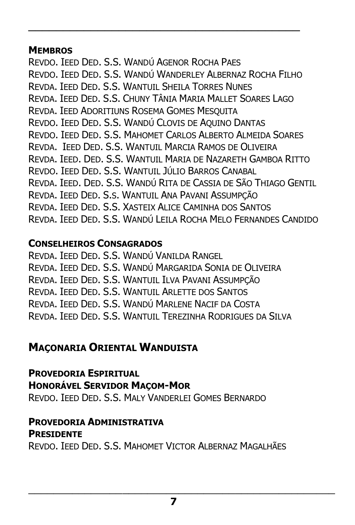#### **MEMBROS**

REVDO. IEED DED. S.S. WANDÚ AGENOR ROCHA PAES REVDO. IEED DED. S.S. WANDÚ WANDERLEY ALBERNAZ ROCHA FILHO REVDA. IEED DED. S.S. WANTUIL SHEILA TORRES NUNES REVDA. IEED DED. S.S. CHUNY TÂNIA MARIA MALLET SOARES LAGO REVDA. IEED ADORITIUNS ROSEMA GOMES MESQUITA REVDO. IEED DED. S.S. WANDÚ CLOVIS DE AQUINO DANTAS REVDO. IEED DED. S.S. MAHOMET CARLOS ALBERTO ALMEIDA SOARES REVDA. IEED DED. S.S. WANTUIL MARCIA RAMOS DE OLIVEIRA REVDA. IEED. DED. S.S. WANTUIL MARIA DE NAZARETH GAMBOA RITTO REVDO. IEED DED. S.S. WANTUIL JÚLIO BARROS CANABAL REVDA. IEED. DED. S.S. WANDÚ RITA DE CASSIA DE SÃO THIAGO GENTIL REVDA. IEED DED. S.S. WANTUIL ANA PAVANI ASSUMPÇÃO REVDA. IEED DED. S.S. XASTEIX ALICE CAMINHA DOS SANTOS REVDA. IEED DED. S.S. WANDÚ LEILA ROCHA MELO FERNANDES CANDIDO

\_\_\_\_\_\_\_\_\_\_\_\_\_\_\_\_\_\_\_\_\_\_\_\_\_\_\_\_\_\_\_\_\_\_\_\_\_\_\_

#### **CONSELHEIROS CONSAGRADOS**

REVDA. IEED DED. S.S. WANDÚ VANILDA RANGEL REVDA. IEED DED. S.S. WANDÚ MARGARIDA SONIA DE OLIVEIRA REVDA. IEED DED. S.S. WANTUIL ILVA PAVANI ASSUMPÇÃO REVDA. IEED DED. S.S. WANTUIL ARLETTE DOS SANTOS REVDA. IEED DED. S.S. WANDÚ MARLENE NACIF DA COSTA REVDA. IEED DED. S.S. WANTUIL TEREZINHA RODRIGUES DA SILVA

# **MAÇONARIA ORIENTAL WANDUISTA**

#### **PROVEDORIA ESPIRITUAL**

### **HONORÁVEL SERVIDOR MAÇOM-MOR**

REVDO. IEED DED. S.S. MALY VANDERLEI GOMES BERNARDO

# **PROVEDORIA ADMINISTRATIVA**

#### **PRESIDENTE**

REVDO. IEED DED. S.S. MAHOMET VICTOR ALBERNAZ MAGALHÃES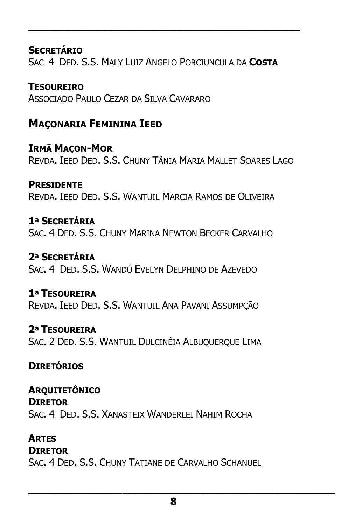**SECRETÁRIO** SAC 4 DED. S.S. MALY LUIZ ANGELO PORCIUNCULA DA **COSTA** 

\_\_\_\_\_\_\_\_\_\_\_\_\_\_\_\_\_\_\_\_\_\_\_\_\_\_\_\_\_\_\_\_\_\_\_\_\_\_\_

**TESOUREIRO**  ASSOCIADO PAULO CEZAR DA SILVA CAVARARO

# **MAÇONARIA FEMININA IEED**

**IRMÃ MAÇON-MOR**  REVDA. IEED DED. S.S. CHUNY TÂNIA MARIA MALLET SOARES LAGO

**PRESIDENTE**  REVDA. IEED DED. S.S. WANTUIL MARCIA RAMOS DE OLIVEIRA

**1ª SECRETÁRIA**  SAC. 4 DED. S.S. CHUNY MARINA NEWTON BECKER CARVALHO

**2ª SECRETÁRIA**  SAC. 4 DED. S.S. WANDÚ EVELYN DELPHINO DE AZEVEDO

**1ª TESOUREIRA**  REVDA. IEED DED. S.S. WANTUIL ANA PAVANI ASSUMPÇÃO

**2ª TESOUREIRA**  SAC. 2 DED. S.S. WANTUIL DULCINÉIA ALBUQUERQUE LIMA

**DIRETÓRIOS** 

**ARQUITETÔNICO DIRETOR** SAC. 4 DED. S.S. XANASTEIX WANDERLEI NAHIM ROCHA

**ARTES**

**DIRETOR** SAC. 4 DED. S.S. CHUNY TATIANE DE CARVALHO SCHANUEL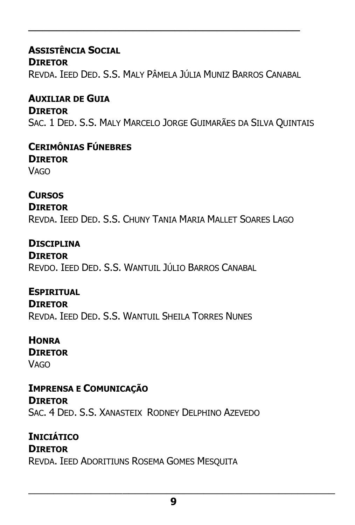### **ASSISTÊNCIA SOCIAL DIRETOR** REVDA. IEED DED. S.S. MALY PÂMELA JÚLIA MUNIZ BARROS CANABAL

\_\_\_\_\_\_\_\_\_\_\_\_\_\_\_\_\_\_\_\_\_\_\_\_\_\_\_\_\_\_\_\_\_\_\_\_\_\_\_

### **AUXILIAR DE GUIA DIRETOR** SAC. 1 DED. S.S. MALY MARCELO JORGE GUIMARÃES DA SILVA QUINTAIS

#### **CERIMÔNIAS FÚNEBRES DIRETOR VAGO**

**CURSOS DIRETOR** REVDA. IEED DED. S.S. CHUNY TANIA MARIA MALLET SOARES LAGO

### **DISCIPLINA**

**DIRETOR** REVDO. IEED DED. S.S. WANTUIL JÚLIO BARROS CANABAL

### **ESPIRITUAL**

**DIRETOR** REVDA. IEED DED. S.S. WANTUIL SHEILA TORRES NUNES

#### **HONRA**

**DIRETOR VAGO** 

#### **IMPRENSA E COMUNICAÇÃO DIRETOR** SAC. 4 DED. S.S. XANASTEIX RODNEY DELPHINO AZEVEDO

# **INICIÁTICO**

### **DIRETOR**

REVDA. IEED ADORITIUNS ROSEMA GOMES MESQUITA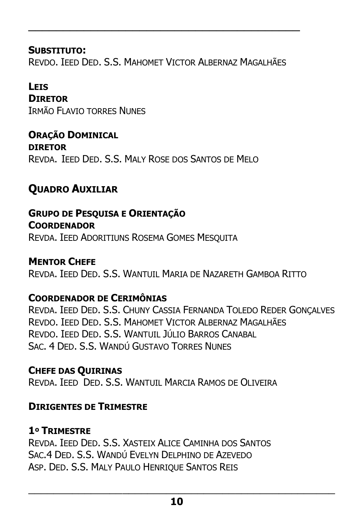**SUBSTITUTO:** REVDO. IEED DED. S.S. MAHOMET VICTOR ALBERNAZ MAGALHÃES

\_\_\_\_\_\_\_\_\_\_\_\_\_\_\_\_\_\_\_\_\_\_\_\_\_\_\_\_\_\_\_\_\_\_\_\_\_\_\_

#### **LEIS**

**DIRETOR** IRMÃO FLAVIO TORRES NUNES

**ORAÇÃO DOMINICAL DIRETOR** REVDA. IEED DED. S.S. MALY ROSE DOS SANTOS DE MELO

# **QUADRO AUXILIAR**

**GRUPO DE PESQUISA E ORIENTAÇÃO COORDENADOR** REVDA. IEED ADORITIUNS ROSEMA GOMES MESQUITA

**MENTOR CHEFE** REVDA. IEED DED. S.S. WANTUIL MARIA DE NAZARETH GAMBOA RITTO

### **COORDENADOR DE CERIMÔNIAS**

REVDA. IEED DED. S.S. CHUNY CASSIA FERNANDA TOLEDO REDER GONÇALVES REVDO. JEED DED. S.S. MAHOMET VICTOR ALBERNAZ MAGALHÃES REVDO. IEED DED. S.S. WANTUIL JÚLIO BARROS CANABAL SAC. 4 DED. S.S. WANDÚ GUSTAVO TORRES NUNES

### **CHEFE DAS QUIRINAS**

REVDA. IEED DED. S.S. WANTUIL MARCIA RAMOS DE OLIVEIRA

#### **DIRIGENTES DE TRIMESTRE**

### **1º TRIMESTRE**

REVDA. IEED DED. S.S. XASTEIX ALICE CAMINHA DOS SANTOS SAC.4 DED. S.S. WANDÚ EVELYN DELPHINO DE AZEVEDO ASP. DED. S.S. MALY PAULO HENRIQUE SANTOS REIS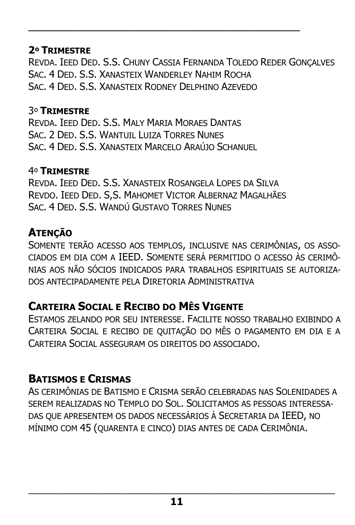### **2º TRIMESTRE**

REVDA. IEED DED. S.S. CHUNY CASSIA FERNANDA TOLEDO REDER GONÇALVES SAC. 4 DED. S.S. XANASTEIX WANDERLEY NAHIM ROCHA SAC. 4 DED. S.S. XANASTEIX RODNEY DELPHINO AZEVEDO

\_\_\_\_\_\_\_\_\_\_\_\_\_\_\_\_\_\_\_\_\_\_\_\_\_\_\_\_\_\_\_\_\_\_\_\_\_\_\_

### 3º **TRIMESTRE**

REVDA. IEED DED. S.S. MALY MARIA MORAES DANTAS SAC. 2 DED. S.S. WANTUIL LUIZA TORRES NUNES SAC. 4 DED. S.S. XANASTEIX MARCELO ARAÚJO SCHANUEL

### 4º **TRIMESTRE**

REVDA. IEED DED. S.S. XANASTEIX ROSANGELA LOPES DA SILVA REVDO. IEED DED. S,S. MAHOMET VICTOR ALBERNAZ MAGALHÃES SAC. 4 DED. S.S. WANDÚ GUSTAVO TORRES NUNES

# **ATENÇÃO**

SOMENTE TERÃO ACESSO AOS TEMPLOS, INCLUSIVE NAS CERIMÔNIAS, OS ASSO-CIADOS EM DIA COM A IEED. SOMENTE SERÁ PERMITIDO O ACESSO ÀS CERIMÔ-NIAS AOS NÃO SÓCIOS INDICADOS PARA TRABALHOS ESPIRITUAIS SE AUTORIZA-DOS ANTECIPADAMENTE PELA DIRETORIA ADMINISTRATIVA

# **CARTEIRA SOCIAL E RECIBO DO MÊS VIGENTE**

ESTAMOS ZELANDO POR SEU INTERESSE. FACILITE NOSSO TRABALHO EXIBINDO A CARTEIRA SOCIAL E RECIBO DE QUITAÇÃO DO MÊS O PAGAMENTO EM DIA E A CARTEIRA SOCIAL ASSEGURAM OS DIREITOS DO ASSOCIADO.

# **BATISMOS E CRISMAS**

AS CERIMÔNIAS DE BATISMO E CRISMA SERÃO CELEBRADAS NAS SOLENIDADES A SEREM REALIZADAS NO TEMPLO DO SOL. SOLICITAMOS AS PESSOAS INTERESSA-DAS QUE APRESENTEM OS DADOS NECESSÁRIOS À SECRETARIA DA IEED, NO MÍNIMO COM 45 (QUARENTA E CINCO) DIAS ANTES DE CADA CERIMÔNIA.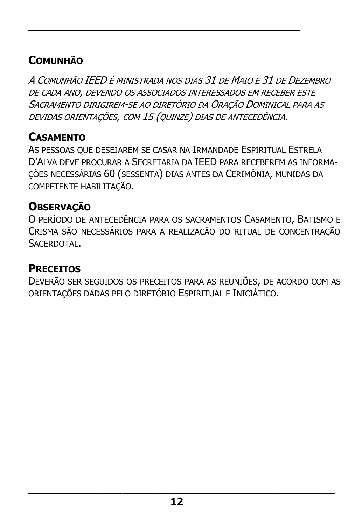# **COMUNHÃO**

A COMUNHÃO IEED É MINISTRADA NOS DIAS 31 DE MAIO E 31 DE DEZEMBRO DE CADA ANO, DEVENDO OS ASSOCIADOS INTERESSADOS EM RECEBER ESTE SACRAMENTO DIRIGIREM-SE AO DIRETÓRIO DA ORAÇÃO DOMINICAL PARA AS DEVIDAS ORIENTAÇÕES, COM 15 (QUINZE) DIAS DE ANTECEDÊNCIA.

\_\_\_\_\_\_\_\_\_\_\_\_\_\_\_\_\_\_\_\_\_\_\_\_\_\_\_\_\_\_\_\_\_\_\_\_\_\_\_

## **CASAMENTO**

AS PESSOAS QUE DESEJAREM SE CASAR NA IRMANDADE ESPIRITUAL ESTRELA D'ALVA DEVE PROCURAR A SECRETARIA DA IEED PARA RECEBEREM AS INFORMA-ÇÕES NECESSÁRIAS 60 (SESSENTA) DIAS ANTES DA CERIMÔNIA, MUNIDAS DA COMPETENTE HABILITAÇÃO.

### **OBSERVAÇÃO**

O PERÍODO DE ANTECEDÊNCIA PARA OS SACRAMENTOS CASAMENTO, BATISMO E CRISMA SÃO NECESSÁRIOS PARA A REALIZAÇÃO DO RITUAL DE CONCENTRAÇÃO **SACERDOTAL** 

### **PRECEITOS**

DEVERÃO SER SEGUIDOS OS PRECEITOS PARA AS REUNIÕES, DE ACORDO COM AS ORIENTAÇÕES DADAS PELO DIRETÓRIO ESPIRITUAL E INICIÁTICO.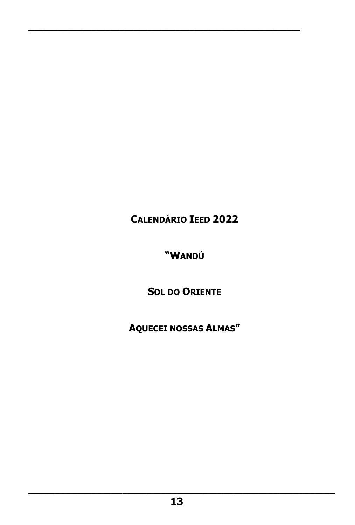**CALENDÁRIO IEED 2022**

\_\_\_\_\_\_\_\_\_\_\_\_\_\_\_\_\_\_\_\_\_\_\_\_\_\_\_\_\_\_\_\_\_\_\_\_\_\_\_

**"WANDÚ**

**SOL DO ORIENTE**

**AQUECEI NOSSAS ALMAS"**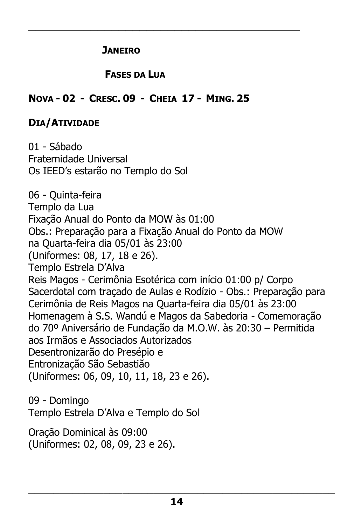#### **JANEIRO**

### **FASES DA LUA**

\_\_\_\_\_\_\_\_\_\_\_\_\_\_\_\_\_\_\_\_\_\_\_\_\_\_\_\_\_\_\_\_\_\_\_\_\_\_\_

### **NOVA - 02 - CRESC. 09 - CHEIA 17 - MING. 25**

### **DIA/ATIVIDADE**

01 - Sábado Fraternidade Universal Os IEED's estarão no Templo do Sol 06 - Quinta-feira Templo da Lua Fixação Anual do Ponto da MOW às 01:00 Obs.: Preparação para a Fixação Anual do Ponto da MOW na Quarta-feira dia 05/01 às 23:00 (Uniformes: 08, 17, 18 e 26). Templo Estrela D'Alva Reis Magos - Cerimônia Esotérica com início 01:00 p/ Corpo Sacerdotal com traçado de Aulas e Rodízio - Obs.: Preparação para Cerimônia de Reis Magos na Quarta-feira dia 05/01 às 23:00 Homenagem à S.S. Wandú e Magos da Sabedoria - Comemoração do 70º Aniversário de Fundação da M.O.W. às 20:30 – Permitida aos Irmãos e Associados Autorizados Desentronizarão do Presépio e Entronização São Sebastião (Uniformes: 06, 09, 10, 11, 18, 23 e 26). 09 - Domingo Templo Estrela D'Alva e Templo do Sol

Oração Dominical às 09:00 (Uniformes: 02, 08, 09, 23 e 26).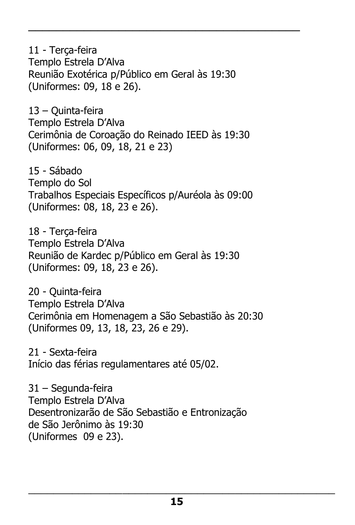11 - Terça-feira Templo Estrela D'Alva Reunião Exotérica p/Público em Geral às 19:30 (Uniformes: 09, 18 e 26).

\_\_\_\_\_\_\_\_\_\_\_\_\_\_\_\_\_\_\_\_\_\_\_\_\_\_\_\_\_\_\_\_\_\_\_\_\_\_\_

13 – Quinta-feira Templo Estrela D'Alva Cerimônia de Coroação do Reinado IEED às 19:30 (Uniformes: 06, 09, 18, 21 e 23)

15 - Sábado Templo do Sol Trabalhos Especiais Específicos p/Auréola às 09:00 (Uniformes: 08, 18, 23 e 26).

18 - Terça-feira Templo Estrela D'Alva Reunião de Kardec p/Público em Geral às 19:30 (Uniformes: 09, 18, 23 e 26).

20 - Quinta-feira Templo Estrela D'Alva Cerimônia em Homenagem a São Sebastião às 20:30 (Uniformes 09, 13, 18, 23, 26 e 29).

21 - Sexta-feira Início das férias regulamentares até 05/02.

31 – Segunda-feira Templo Estrela D'Alva Desentronizarão de São Sebastião e Entronização de São Jerônimo às 19:30 (Uniformes 09 e 23).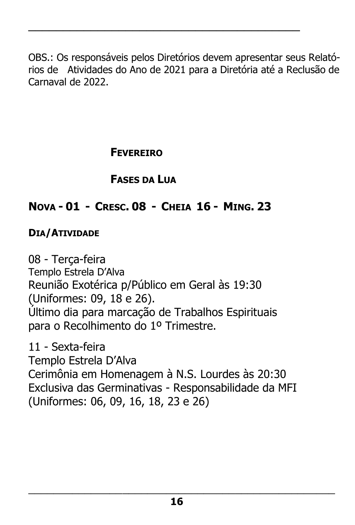OBS.: Os responsáveis pelos Diretórios devem apresentar seus Relatórios de Atividades do Ano de 2021 para a Diretória até a Reclusão de Carnaval de 2022.

\_\_\_\_\_\_\_\_\_\_\_\_\_\_\_\_\_\_\_\_\_\_\_\_\_\_\_\_\_\_\_\_\_\_\_\_\_\_\_

# **FEVEREIRO**

# **FASES DA LUA**

# **NOVA - 01 - CRESC. 08 - CHEIA 16 - MING. 23**

### **DIA/ATIVIDADE**

08 - Terça-feira Templo Estrela D'Alva Reunião Exotérica p/Público em Geral às 19:30 (Uniformes: 09, 18 e 26). Último dia para marcação de Trabalhos Espirituais para o Recolhimento do 1º Trimestre.

11 - Sexta-feira Templo Estrela D'Alva Cerimônia em Homenagem à N.S. Lourdes às 20:30 Exclusiva das Germinativas - Responsabilidade da MFI (Uniformes: 06, 09, 16, 18, 23 e 26)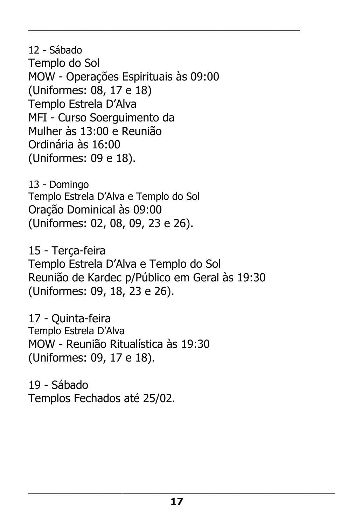12 - Sábado Templo do Sol MOW - Operações Espirituais às 09:00 (Uniformes: 08, 17 e 18) Templo Estrela D'Alva MFI - Curso Soerguimento da Mulher às 13:00 e Reunião Ordinária às 16:00 (Uniformes: 09 e 18).

\_\_\_\_\_\_\_\_\_\_\_\_\_\_\_\_\_\_\_\_\_\_\_\_\_\_\_\_\_\_\_\_\_\_\_\_\_\_\_

13 - Domingo Templo Estrela D'Alva e Templo do Sol Oração Dominical às 09:00 (Uniformes: 02, 08, 09, 23 e 26).

15 - Terça-feira Templo Estrela D'Alva e Templo do Sol Reunião de Kardec p/Público em Geral às 19:30 (Uniformes: 09, 18, 23 e 26).

17 - Quinta-feira Templo Estrela D'Alva MOW - Reunião Ritualística às 19:30 (Uniformes: 09, 17 e 18).

19 - Sábado Templos Fechados até 25/02.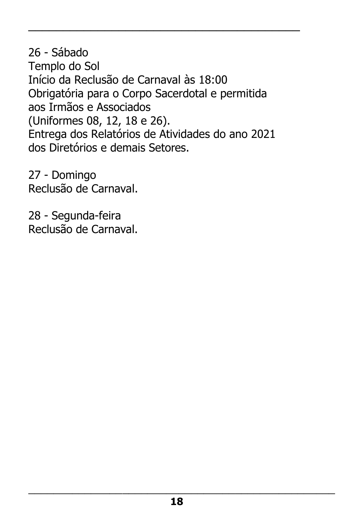26 - Sábado Templo do Sol Início da Reclusão de Carnaval às 18:00 Obrigatória para o Corpo Sacerdotal e permitida aos Irmãos e Associados (Uniformes 08, 12, 18 e 26). Entrega dos Relatórios de Atividades do ano 2021 dos Diretórios e demais Setores.

\_\_\_\_\_\_\_\_\_\_\_\_\_\_\_\_\_\_\_\_\_\_\_\_\_\_\_\_\_\_\_\_\_\_\_\_\_\_\_

27 - Domingo Reclusão de Carnaval.

28 - Segunda-feira Reclusão de Carnaval.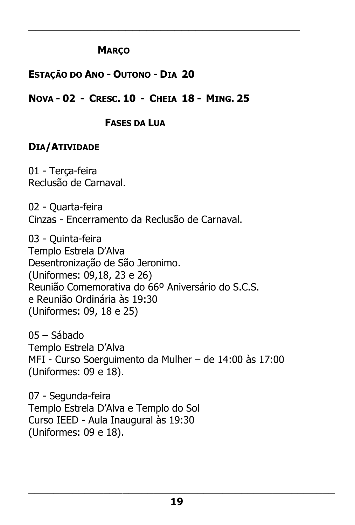### **MARÇO**

### **ESTAÇÃO DO ANO - OUTONO - DIA 20**

### **NOVA - 02 - CRESC. 10 - CHEIA 18 - MING. 25**

\_\_\_\_\_\_\_\_\_\_\_\_\_\_\_\_\_\_\_\_\_\_\_\_\_\_\_\_\_\_\_\_\_\_\_\_\_\_\_

#### **FASES DA LUA**

### **DIA/ATIVIDADE**

01 - Terça-feira Reclusão de Carnaval.

02 - Quarta-feira Cinzas - Encerramento da Reclusão de Carnaval.

03 - Quinta-feira Templo Estrela D'Alva Desentronização de São Jeronimo. (Uniformes: 09,18, 23 e 26) Reunião Comemorativa do 66º Aniversário do S.C.S. e Reunião Ordinária às 19:30 (Uniformes: 09, 18 e 25)

05 – Sábado Templo Estrela D'Alva MFI - Curso Soerguimento da Mulher – de 14:00 às 17:00 (Uniformes: 09 e 18).

07 - Segunda-feira Templo Estrela D'Alva e Templo do Sol Curso IEED - Aula Inaugural às 19:30 (Uniformes: 09 e 18).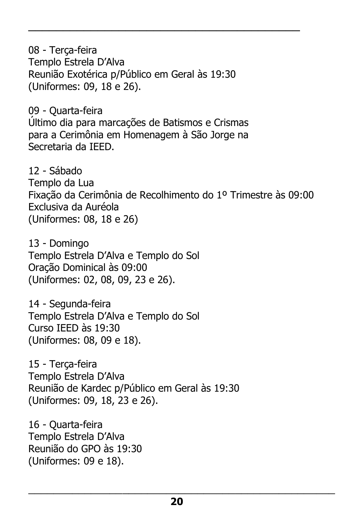08 - Terça-feira Templo Estrela D'Alva Reunião Exotérica p/Público em Geral às 19:30 (Uniformes: 09, 18 e 26).

\_\_\_\_\_\_\_\_\_\_\_\_\_\_\_\_\_\_\_\_\_\_\_\_\_\_\_\_\_\_\_\_\_\_\_\_\_\_\_

09 - Quarta-feira Último dia para marcações de Batismos e Crismas para a Cerimônia em Homenagem à São Jorge na Secretaria da IEED.

12 - Sábado Templo da Lua Fixação da Cerimônia de Recolhimento do 1º Trimestre às 09:00 Exclusiva da Auréola (Uniformes: 08, 18 e 26)

13 - Domingo Templo Estrela D'Alva e Templo do Sol Oração Dominical às 09:00 (Uniformes: 02, 08, 09, 23 e 26).

14 - Segunda-feira Templo Estrela D'Alva e Templo do Sol Curso IEED às 19:30 (Uniformes: 08, 09 e 18).

15 - Terça-feira Templo Estrela D'Alva Reunião de Kardec p/Público em Geral às 19:30 (Uniformes: 09, 18, 23 e 26).

16 - Quarta-feira Templo Estrela D'Alva Reunião do GPO às 19:30 (Uniformes: 09 e 18).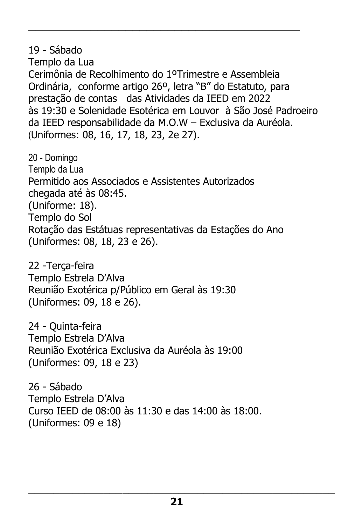19 - Sábado Templo da Lua Cerimônia de Recolhimento do 1ºTrimestre e Assembleia Ordinária, conforme artigo 26º, letra "B" do Estatuto, para prestação de contas das Atividades da IEED em 2022 às 19:30 e Solenidade Esotérica em Louvor à São José Padroeiro da IEED responsabilidade da M.O.W – Exclusiva da Auréola. (Uniformes: 08, 16, 17, 18, 23, 2e 27).

\_\_\_\_\_\_\_\_\_\_\_\_\_\_\_\_\_\_\_\_\_\_\_\_\_\_\_\_\_\_\_\_\_\_\_\_\_\_\_

20 - Domingo Templo da Lua Permitido aos Associados e Assistentes Autorizados chegada até às 08:45. (Uniforme: 18). Templo do Sol Rotação das Estátuas representativas da Estações do Ano (Uniformes: 08, 18, 23 e 26).

22 -Terça-feira Templo Estrela D'Alva Reunião Exotérica p/Público em Geral às 19:30 (Uniformes: 09, 18 e 26).

24 - Quinta-feira Templo Estrela D'Alva Reunião Exotérica Exclusiva da Auréola às 19:00 (Uniformes: 09, 18 e 23)

26 - Sábado Templo Estrela D'Alva Curso IEED de 08:00 às 11:30 e das 14:00 às 18:00. (Uniformes: 09 e 18)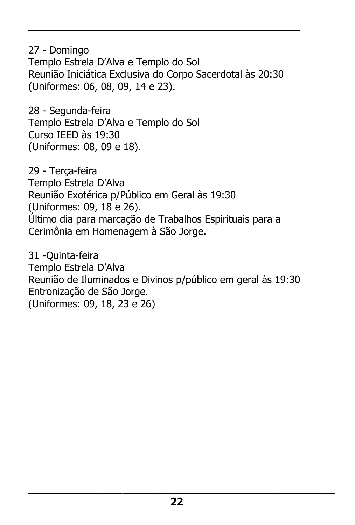27 - Domingo Templo Estrela D'Alva e Templo do Sol Reunião Iniciática Exclusiva do Corpo Sacerdotal às 20:30 (Uniformes: 06, 08, 09, 14 e 23).

\_\_\_\_\_\_\_\_\_\_\_\_\_\_\_\_\_\_\_\_\_\_\_\_\_\_\_\_\_\_\_\_\_\_\_\_\_\_\_

28 - Segunda-feira Templo Estrela D'Alva e Templo do Sol Curso IEED às 19:30 (Uniformes: 08, 09 e 18).

29 - Terça-feira Templo Estrela D'Alva Reunião Exotérica p/Público em Geral às 19:30 (Uniformes: 09, 18 e 26). Último dia para marcação de Trabalhos Espirituais para a Cerimônia em Homenagem à São Jorge.

31 -Quinta-feira Templo Estrela D'Alva Reunião de Iluminados e Divinos p/público em geral às 19:30 Entronização de São Jorge. (Uniformes: 09, 18, 23 e 26)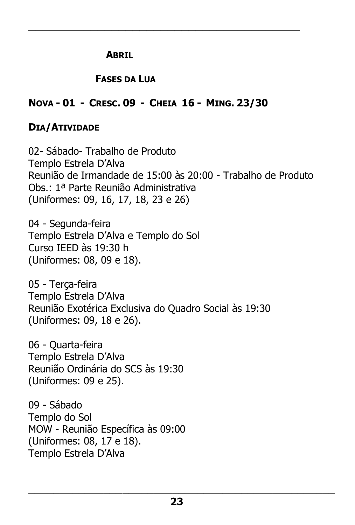#### **ABRIL**

### **FASES DA LUA**

### **NOVA - 01 - CRESC. 09 - CHEIA 16 - MING. 23/30**

\_\_\_\_\_\_\_\_\_\_\_\_\_\_\_\_\_\_\_\_\_\_\_\_\_\_\_\_\_\_\_\_\_\_\_\_\_\_\_

### **DIA/ATIVIDADE**

02- Sábado- Trabalho de Produto Templo Estrela D'Alva Reunião de Irmandade de 15:00 às 20:00 - Trabalho de Produto Obs.: 1ª Parte Reunião Administrativa (Uniformes: 09, 16, 17, 18, 23 e 26)

04 - Segunda-feira Templo Estrela D'Alva e Templo do Sol Curso IEED às 19:30 h (Uniformes: 08, 09 e 18).

05 - Terça-feira Templo Estrela D'Alva Reunião Exotérica Exclusiva do Quadro Social às 19:30 (Uniformes: 09, 18 e 26).

06 - Quarta-feira Templo Estrela D'Alva Reunião Ordinária do SCS às 19:30 (Uniformes: 09 e 25).

09 - Sábado Templo do Sol MOW - Reunião Específica às 09:00 (Uniformes: 08, 17 e 18). Templo Estrela D'Alva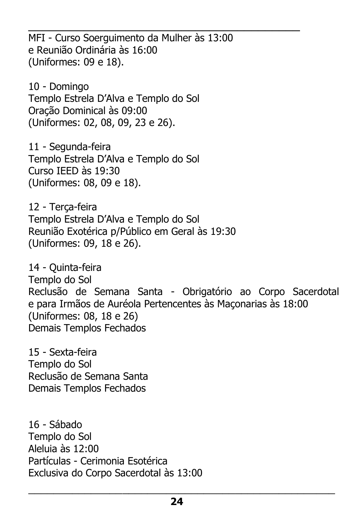\_\_\_\_\_\_\_\_\_\_\_\_\_\_\_\_\_\_\_\_\_\_\_\_\_\_\_\_\_\_\_\_\_\_\_\_\_\_\_ MFI - Curso Soerguimento da Mulher às 13:00 e Reunião Ordinária às 16:00 (Uniformes: 09 e 18).

10 - Domingo Templo Estrela D'Alva e Templo do Sol Oração Dominical às 09:00 (Uniformes: 02, 08, 09, 23 e 26).

11 - Segunda-feira Templo Estrela D'Alva e Templo do Sol Curso IEED às 19:30 (Uniformes: 08, 09 e 18).

12 - Terça-feira Templo Estrela D'Alva e Templo do Sol Reunião Exotérica p/Público em Geral às 19:30 (Uniformes: 09, 18 e 26).

14 - Quinta-feira Templo do Sol Reclusão de Semana Santa - Obrigatório ao Corpo Sacerdotal e para Irmãos de Auréola Pertencentes às Maçonarias às 18:00 (Uniformes: 08, 18 e 26) Demais Templos Fechados

15 - Sexta-feira Templo do Sol Reclusão de Semana Santa Demais Templos Fechados

16 - Sábado Templo do Sol Aleluia às 12:00 Partículas - Cerimonia Esotérica Exclusiva do Corpo Sacerdotal às 13:00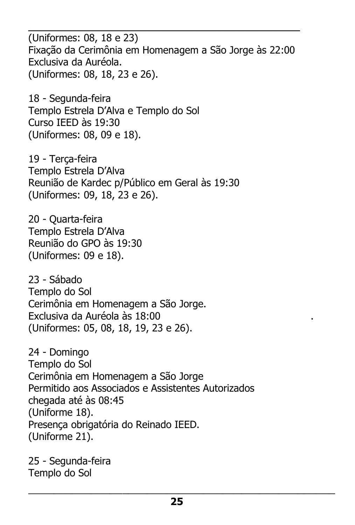\_\_\_\_\_\_\_\_\_\_\_\_\_\_\_\_\_\_\_\_\_\_\_\_\_\_\_\_\_\_\_\_\_\_\_\_\_\_\_ (Uniformes: 08, 18 e 23) Fixação da Cerimônia em Homenagem a São Jorge às 22:00 Exclusiva da Auréola. (Uniformes: 08, 18, 23 e 26).

18 - Segunda-feira Templo Estrela D'Alva e Templo do Sol Curso IEED às 19:30 (Uniformes: 08, 09 e 18).

19 - Terça-feira Templo Estrela D'Alva Reunião de Kardec p/Público em Geral às 19:30 (Uniformes: 09, 18, 23 e 26).

20 - Quarta-feira Templo Estrela D'Alva Reunião do GPO às 19:30 (Uniformes: 09 e 18).

23 - Sábado Templo do Sol Cerimônia em Homenagem a São Jorge. Exclusiva da Auréola às 18:00 . (Uniformes: 05, 08, 18, 19, 23 e 26).

24 - Domingo Templo do Sol Cerimônia em Homenagem a São Jorge Permitido aos Associados e Assistentes Autorizados chegada até às 08:45 (Uniforme 18). Presença obrigatória do Reinado IEED. (Uniforme 21).

25 - Segunda-feira Templo do Sol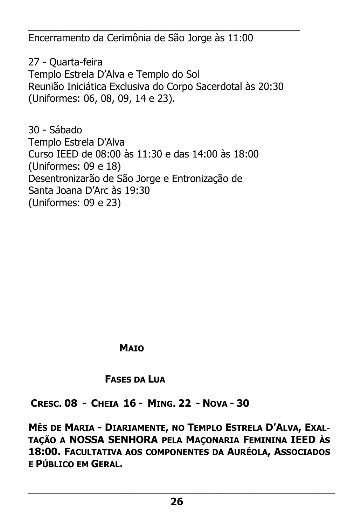\_\_\_\_\_\_\_\_\_\_\_\_\_\_\_\_\_\_\_\_\_\_\_\_\_\_\_\_\_\_\_\_\_\_\_\_\_\_\_ Encerramento da Cerimônia de São Jorge às 11:00

27 - Quarta-feira Templo Estrela D'Alva e Templo do Sol Reunião Iniciática Exclusiva do Corpo Sacerdotal às 20:30 (Uniformes: 06, 08, 09, 14 e 23).

30 - Sábado Templo Estrela D'Alva Curso IEED de 08:00 às 11:30 e das 14:00 às 18:00 (Uniformes: 09 e 18) Desentronizarão de São Jorge e Entronização de Santa Joana D'Arc às 19:30 (Uniformes: 09 e 23)

### **MAIO**

### **FASES DA LUA**

**CRESC. 08 - CHEIA 16 - MING. 22 - NOVA - 30** 

**MÊS DE MARIA - DIARIAMENTE, NO TEMPLO ESTRELA D'ALVA, EXAL-TAÇÃO A NOSSA SENHORA PELA MAÇONARIA FEMININA IEED ÀS 18:00. FACULTATIVA AOS COMPONENTES DA AURÉOLA, ASSOCIADOS E PÚBLICO EM GERAL.**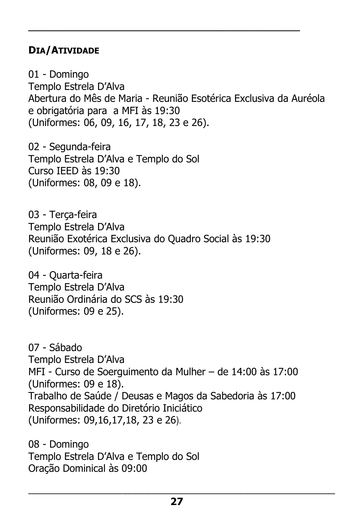### **DIA/ATIVIDADE**

01 - Domingo Templo Estrela D'Alva Abertura do Mês de Maria - Reunião Esotérica Exclusiva da Auréola e obrigatória para a MFI às 19:30 (Uniformes: 06, 09, 16, 17, 18, 23 e 26).

\_\_\_\_\_\_\_\_\_\_\_\_\_\_\_\_\_\_\_\_\_\_\_\_\_\_\_\_\_\_\_\_\_\_\_\_\_\_\_

02 - Segunda-feira Templo Estrela D'Alva e Templo do Sol Curso IEED às 19:30 (Uniformes: 08, 09 e 18).

03 - Terça-feira Templo Estrela D'Alva Reunião Exotérica Exclusiva do Quadro Social às 19:30 (Uniformes: 09, 18 e 26).

04 - Quarta-feira Templo Estrela D'Alva Reunião Ordinária do SCS às 19:30 (Uniformes: 09 e 25).

07 - Sábado Templo Estrela D'Alva MFI - Curso de Soerguimento da Mulher – de 14:00 às 17:00 (Uniformes: 09 e 18). Trabalho de Saúde / Deusas e Magos da Sabedoria às 17:00 Responsabilidade do Diretório Iniciático (Uniformes: 09,16,17,18, 23 e 26).

08 - Domingo Templo Estrela D'Alva e Templo do Sol Oração Dominical às 09:00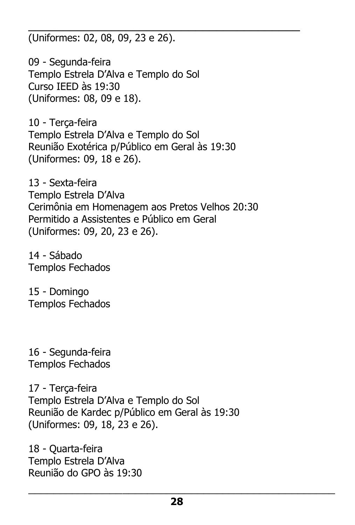\_\_\_\_\_\_\_\_\_\_\_\_\_\_\_\_\_\_\_\_\_\_\_\_\_\_\_\_\_\_\_\_\_\_\_\_\_\_\_ (Uniformes: 02, 08, 09, 23 e 26).

09 - Segunda-feira Templo Estrela D'Alva e Templo do Sol Curso IEED às 19:30 (Uniformes: 08, 09 e 18).

10 - Terça-feira Templo Estrela D'Alva e Templo do Sol Reunião Exotérica p/Público em Geral às 19:30 (Uniformes: 09, 18 e 26).

13 - Sexta-feira Templo Estrela D'Alva Cerimônia em Homenagem aos Pretos Velhos 20:30 Permitido a Assistentes e Público em Geral (Uniformes: 09, 20, 23 e 26).

14 - Sábado Templos Fechados

15 - Domingo Templos Fechados

16 - Segunda-feira Templos Fechados

17 - Terça-feira Templo Estrela D'Alva e Templo do Sol Reunião de Kardec p/Público em Geral às 19:30 (Uniformes: 09, 18, 23 e 26).

18 - Quarta-feira Templo Estrela D'Alva Reunião do GPO às 19:30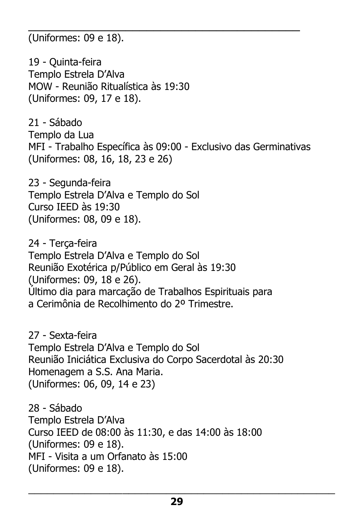\_\_\_\_\_\_\_\_\_\_\_\_\_\_\_\_\_\_\_\_\_\_\_\_\_\_\_\_\_\_\_\_\_\_\_\_\_\_\_ (Uniformes: 09 e 18).

19 - Quinta-feira Templo Estrela D'Alva MOW - Reunião Ritualística às 19:30 (Uniformes: 09, 17 e 18).

21 - Sábado Templo da Lua MFI - Trabalho Específica às 09:00 - Exclusivo das Germinativas (Uniformes: 08, 16, 18, 23 e 26)

23 - Segunda-feira Templo Estrela D'Alva e Templo do Sol Curso IEED às 19:30 (Uniformes: 08, 09 e 18).

24 - Terça-feira Templo Estrela D'Alva e Templo do Sol Reunião Exotérica p/Público em Geral às 19:30 (Uniformes: 09, 18 e 26). Último dia para marcação de Trabalhos Espirituais para a Cerimônia de Recolhimento do 2º Trimestre.

27 - Sexta-feira Templo Estrela D'Alva e Templo do Sol Reunião Iniciática Exclusiva do Corpo Sacerdotal às 20:30 Homenagem a S.S. Ana Maria. (Uniformes: 06, 09, 14 e 23)

28 - Sábado Templo Estrela D'Alva Curso IEED de 08:00 às 11:30, e das 14:00 às 18:00 (Uniformes: 09 e 18). MFI - Visita a um Orfanato às 15:00 (Uniformes: 09 e 18).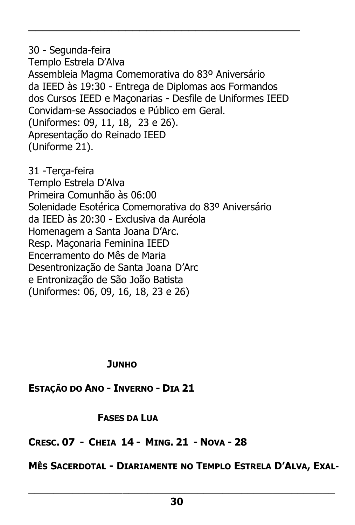30 - Segunda-feira Templo Estrela D'Alva Assembleia Magma Comemorativa do 83º Aniversário da IEED às 19:30 - Entrega de Diplomas aos Formandos dos Cursos IEED e Maçonarias - Desfile de Uniformes IEED Convidam-se Associados e Público em Geral. (Uniformes: 09, 11, 18, 23 e 26). Apresentação do Reinado IEED (Uniforme 21).

\_\_\_\_\_\_\_\_\_\_\_\_\_\_\_\_\_\_\_\_\_\_\_\_\_\_\_\_\_\_\_\_\_\_\_\_\_\_\_

31 -Terça-feira Templo Estrela D'Alva Primeira Comunhão às 06:00 Solenidade Esotérica Comemorativa do 83º Aniversário da IEED às 20:30 - Exclusiva da Auréola Homenagem a Santa Joana D'Arc. Resp. Maçonaria Feminina IEED Encerramento do Mês de Maria Desentronização de Santa Joana D'Arc e Entronização de São João Batista (Uniformes: 06, 09, 16, 18, 23 e 26)

#### **JUNHO**

**ESTAÇÃO DO ANO - INVERNO - DIA 21**

#### **FASES DA LUA**

### **CRESC. 07 - CHEIA 14 - MING. 21 - NOVA - 28**

### **MÊS SACERDOTAL - DIARIAMENTE NO TEMPLO ESTRELA D'ALVA, EXAL-**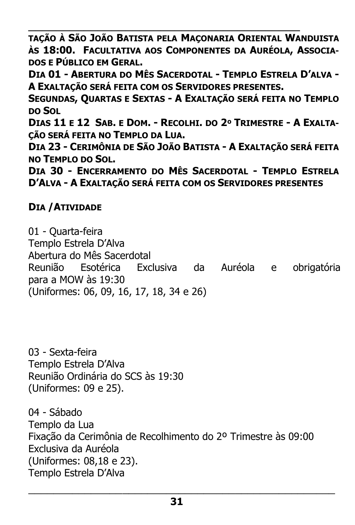\_\_\_\_\_\_\_\_\_\_\_\_\_\_\_\_\_\_\_\_\_\_\_\_\_\_\_\_\_\_\_\_\_\_\_\_\_\_\_ **TAÇÃO À SÃO JOÃO BATISTA PELA MAÇONARIA ORIENTAL WANDUISTA ÀS 18:00. FACULTATIVA AOS COMPONENTES DA AURÉOLA, ASSOCIA-DOS E PÚBLICO EM GERAL.**

**DIA 01 - ABERTURA DO MÊS SACERDOTAL - TEMPLO ESTRELA D'ALVA - A EXALTAÇÃO SERÁ FEITA COM OS SERVIDORES PRESENTES.**

**SEGUNDAS, QUARTAS E SEXTAS - A EXALTAÇÃO SERÁ FEITA NO TEMPLO DO SOL** 

DIAS 11 E 12 SAB. E DOM. - RECOLHI. DO 2º TRIMESTRE - A EXALTA-**ÇÃO SERÁ FEITA NO TEMPLO DA LUA.**

**DIA 23 - CERIMÔNIA DE SÃO JOÃO BATISTA - A EXALTAÇÃO SERÁ FEITA NO TEMPLO DO SOL.**

**DIA 30 - ENCERRAMENTO DO MÊS SACERDOTAL - TEMPLO ESTRELA D'ALVA - A EXALTAÇÃO SERÁ FEITA COM OS SERVIDORES PRESENTES**

### **DIA /ATIVIDADE**

01 - Quarta-feira Templo Estrela D'Alva Abertura do Mês Sacerdotal Reunião Esotérica Exclusiva da Auréola e obrigatória para a MOW às 19:30 (Uniformes: 06, 09, 16, 17, 18, 34 e 26)

03 - Sexta-feira Templo Estrela D'Alva Reunião Ordinária do SCS às 19:30 (Uniformes: 09 e 25).

04 - Sábado Templo da Lua Fixação da Cerimônia de Recolhimento do 2º Trimestre às 09:00 Exclusiva da Auréola (Uniformes: 08,18 e 23). Templo Estrela D'Alva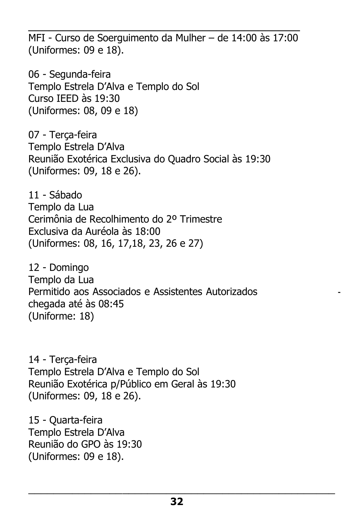\_\_\_\_\_\_\_\_\_\_\_\_\_\_\_\_\_\_\_\_\_\_\_\_\_\_\_\_\_\_\_\_\_\_\_\_\_\_\_ MFI - Curso de Soerguimento da Mulher – de 14:00 às 17:00 (Uniformes: 09 e 18).

06 - Segunda-feira Templo Estrela D'Alva e Templo do Sol Curso IEED às 19:30 (Uniformes: 08, 09 e 18)

07 - Terça-feira Templo Estrela D'Alva Reunião Exotérica Exclusiva do Quadro Social às 19:30 (Uniformes: 09, 18 e 26).

11 - Sábado Templo da Lua Cerimônia de Recolhimento do 2º Trimestre Exclusiva da Auréola às 18:00 (Uniformes: 08, 16, 17,18, 23, 26 e 27)

12 - Domingo Templo da Lua Permitido aos Associados e Assistentes Autorizados chegada até às 08:45 (Uniforme: 18)

14 - Terça-feira Templo Estrela D'Alva e Templo do Sol Reunião Exotérica p/Público em Geral às 19:30 (Uniformes: 09, 18 e 26).

15 - Quarta-feira Templo Estrela D'Alva Reunião do GPO às 19:30 (Uniformes: 09 e 18).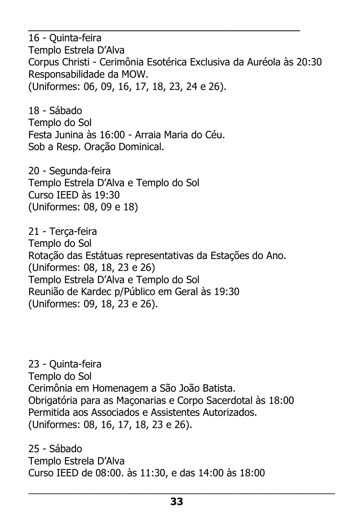16 - Quinta-feira Templo Estrela D'Alva Corpus Christi - Cerimônia Esotérica Exclusiva da Auréola às 20:30 Responsabilidade da MOW. (Uniformes: 06, 09, 16, 17, 18, 23, 24 e 26).

\_\_\_\_\_\_\_\_\_\_\_\_\_\_\_\_\_\_\_\_\_\_\_\_\_\_\_\_\_\_\_\_\_\_\_\_\_\_\_

18 - Sábado Templo do Sol Festa Junina às 16:00 - Arraia Maria do Céu. Sob a Resp. Oração Dominical.

20 - Segunda-feira Templo Estrela D'Alva e Templo do Sol Curso IEED às 19:30 (Uniformes: 08, 09 e 18)

21 - Terça-feira Templo do Sol Rotação das Estátuas representativas da Estações do Ano. (Uniformes: 08, 18, 23 e 26) Templo Estrela D'Alva e Templo do Sol Reunião de Kardec p/Público em Geral às 19:30 (Uniformes: 09, 18, 23 e 26).

23 - Quinta-feira Templo do Sol Cerimônia em Homenagem a São João Batista. Obrigatória para as Maçonarias e Corpo Sacerdotal às 18:00 Permitida aos Associados e Assistentes Autorizados. (Uniformes: 08, 16, 17, 18, 23 e 26).

25 - Sábado Templo Estrela D'Alva Curso IEED de 08:00. às 11:30, e das 14:00 às 18:00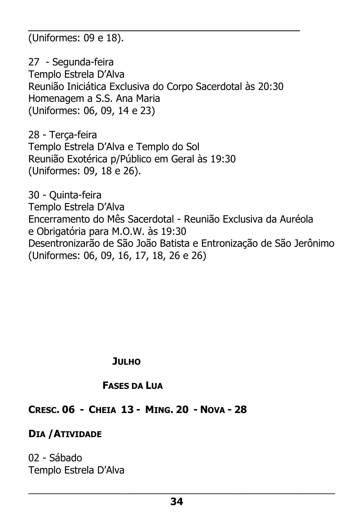\_\_\_\_\_\_\_\_\_\_\_\_\_\_\_\_\_\_\_\_\_\_\_\_\_\_\_\_\_\_\_\_\_\_\_\_\_\_\_ (Uniformes: 09 e 18).

27 - Segunda-feira Templo Estrela D'Alva Reunião Iniciática Exclusiva do Corpo Sacerdotal às 20:30 Homenagem a S.S. Ana Maria (Uniformes: 06, 09, 14 e 23)

28 - Terça-feira Templo Estrela D'Alva e Templo do Sol Reunião Exotérica p/Público em Geral às 19:30 (Uniformes: 09, 18 e 26).

30 - Quinta-feira Templo Estrela D'Alva Encerramento do Mês Sacerdotal - Reunião Exclusiva da Auréola e Obrigatória para M.O.W. às 19:30 Desentronizarão de São João Batista e Entronização de São Jerônimo (Uniformes: 06, 09, 16, 17, 18, 26 e 26)

 **JULHO**

#### **FASES DA LUA**

#### **CRESC. 06 - CHEIA 13 - MING. 20 - NOVA - 28**

**DIA /ATIVIDADE**

02 - Sábado Templo Estrela D'Alva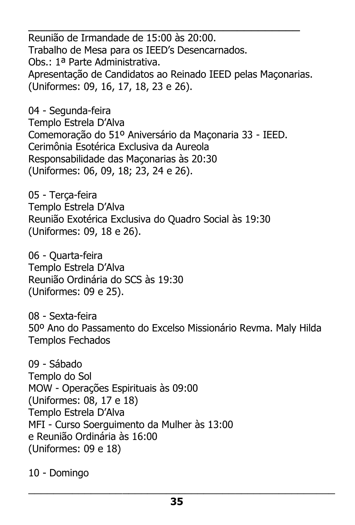\_\_\_\_\_\_\_\_\_\_\_\_\_\_\_\_\_\_\_\_\_\_\_\_\_\_\_\_\_\_\_\_\_\_\_\_\_\_\_ Reunião de Irmandade de 15:00 às 20:00. Trabalho de Mesa para os IEED's Desencarnados. Obs.: 1ª Parte Administrativa. Apresentação de Candidatos ao Reinado IEED pelas Maçonarias. (Uniformes: 09, 16, 17, 18, 23 e 26).

04 - Segunda-feira Templo Estrela D'Alva Comemoração do 51º Aniversário da Maçonaria 33 - IEED. Cerimônia Esotérica Exclusiva da Aureola Responsabilidade das Maçonarias às 20:30 (Uniformes: 06, 09, 18; 23, 24 e 26).

05 - Terça-feira Templo Estrela D'Alva Reunião Exotérica Exclusiva do Quadro Social às 19:30 (Uniformes: 09, 18 e 26).

06 - Quarta-feira Templo Estrela D'Alva Reunião Ordinária do SCS às 19:30 (Uniformes: 09 e 25).

08 - Sexta-feira 50º Ano do Passamento do Excelso Missionário Revma. Maly Hilda Templos Fechados

09 - Sábado Templo do Sol MOW - Operações Espirituais às 09:00 (Uniformes: 08, 17 e 18) Templo Estrela D'Alva MFI - Curso Soerguimento da Mulher às 13:00 e Reunião Ordinária às 16:00 (Uniformes: 09 e 18)

10 - Domingo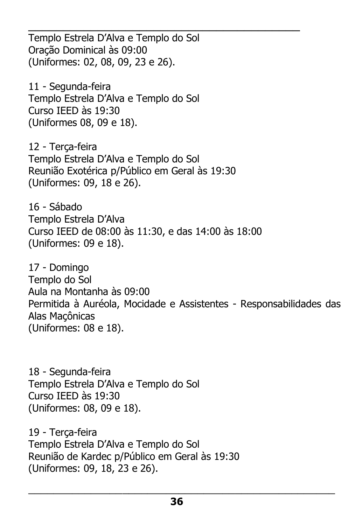\_\_\_\_\_\_\_\_\_\_\_\_\_\_\_\_\_\_\_\_\_\_\_\_\_\_\_\_\_\_\_\_\_\_\_\_\_\_\_ Templo Estrela D'Alva e Templo do Sol Oração Dominical às 09:00 (Uniformes: 02, 08, 09, 23 e 26).

11 - Segunda-feira Templo Estrela D'Alva e Templo do Sol Curso IEED às 19:30 (Uniformes 08, 09 e 18).

12 - Terça-feira Templo Estrela D'Alva e Templo do Sol Reunião Exotérica p/Público em Geral às 19:30 (Uniformes: 09, 18 e 26).

16 - Sábado Templo Estrela D'Alva Curso IEED de 08:00 às 11:30, e das 14:00 às 18:00 (Uniformes: 09 e 18).

17 - Domingo Templo do Sol Aula na Montanha às 09:00 Permitida à Auréola, Mocidade e Assistentes - Responsabilidades das Alas Maçônicas (Uniformes: 08 e 18).

18 - Segunda-feira Templo Estrela D'Alva e Templo do Sol Curso IEED às 19:30 (Uniformes: 08, 09 e 18).

19 - Terça-feira Templo Estrela D'Alva e Templo do Sol Reunião de Kardec p/Público em Geral às 19:30 (Uniformes: 09, 18, 23 e 26).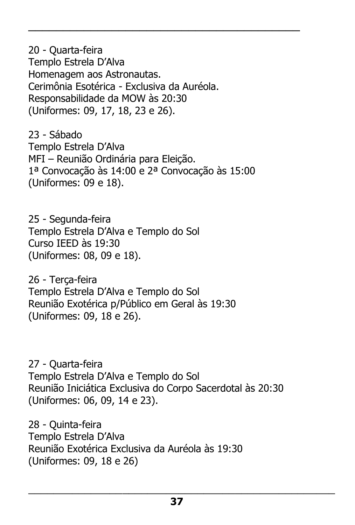20 - Quarta-feira Templo Estrela D'Alva Homenagem aos Astronautas. Cerimônia Esotérica - Exclusiva da Auréola. Responsabilidade da MOW às 20:30 (Uniformes: 09, 17, 18, 23 e 26).

23 - Sábado Templo Estrela D'Alva MFI – Reunião Ordinária para Eleição. 1ª Convocação às 14:00 e 2ª Convocação às 15:00 (Uniformes: 09 e 18).

\_\_\_\_\_\_\_\_\_\_\_\_\_\_\_\_\_\_\_\_\_\_\_\_\_\_\_\_\_\_\_\_\_\_\_\_\_\_\_

25 - Segunda-feira Templo Estrela D'Alva e Templo do Sol Curso IEED às 19:30 (Uniformes: 08, 09 e 18).

26 - Terça-feira Templo Estrela D'Alva e Templo do Sol Reunião Exotérica p/Público em Geral às 19:30 (Uniformes: 09, 18 e 26).

27 - Quarta-feira Templo Estrela D'Alva e Templo do Sol Reunião Iniciática Exclusiva do Corpo Sacerdotal às 20:30 (Uniformes: 06, 09, 14 e 23).

28 - Quinta-feira Templo Estrela D'Alva Reunião Exotérica Exclusiva da Auréola às 19:30 (Uniformes: 09, 18 e 26)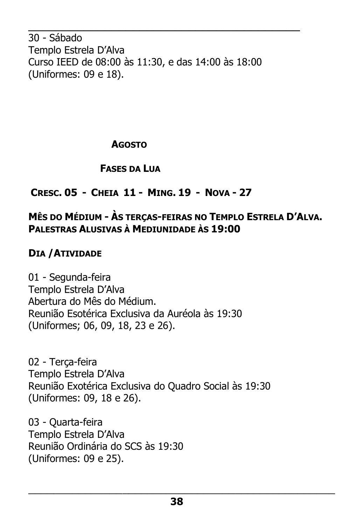30 - Sábado Templo Estrela D'Alva Curso IEED de 08:00 às 11:30, e das 14:00 às 18:00 (Uniformes: 09 e 18).

\_\_\_\_\_\_\_\_\_\_\_\_\_\_\_\_\_\_\_\_\_\_\_\_\_\_\_\_\_\_\_\_\_\_\_\_\_\_\_

### **AGOSTO**

### **FASES DA LUA**

# **CRESC. 05 - CHEIA 11 - MING. 19 - NOVA - 27**

# **MÊS DO MÉDIUM - ÀS TERÇAS-FEIRAS NO TEMPLO ESTRELA D'ALVA. PALESTRAS ALUSIVAS À MEDIUNIDADE ÀS 19:00**

# **DIA /ATIVIDADE**

01 - Segunda-feira Templo Estrela D'Alva Abertura do Mês do Médium. Reunião Esotérica Exclusiva da Auréola às 19:30 (Uniformes; 06, 09, 18, 23 e 26).

02 - Terça-feira Templo Estrela D'Alva Reunião Exotérica Exclusiva do Quadro Social às 19:30 (Uniformes: 09, 18 e 26).

03 - Quarta-feira Templo Estrela D'Alva Reunião Ordinária do SCS às 19:30 (Uniformes: 09 e 25).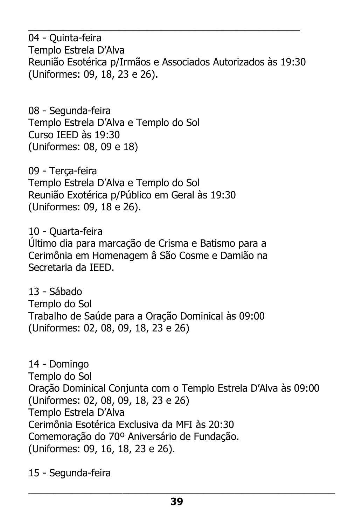04 - Quinta-feira Templo Estrela D'Alva Reunião Esotérica p/Irmãos e Associados Autorizados às 19:30 (Uniformes: 09, 18, 23 e 26).

\_\_\_\_\_\_\_\_\_\_\_\_\_\_\_\_\_\_\_\_\_\_\_\_\_\_\_\_\_\_\_\_\_\_\_\_\_\_\_

08 - Segunda-feira Templo Estrela D'Alva e Templo do Sol Curso IEED às 19:30 (Uniformes: 08, 09 e 18)

09 - Terça-feira Templo Estrela D'Alva e Templo do Sol Reunião Exotérica p/Público em Geral às 19:30 (Uniformes: 09, 18 e 26).

10 - Quarta-feira Último dia para marcação de Crisma e Batismo para a Cerimônia em Homenagem â São Cosme e Damião na Secretaria da IEED.

13 - Sábado Templo do Sol Trabalho de Saúde para a Oração Dominical às 09:00 (Uniformes: 02, 08, 09, 18, 23 e 26)

14 - Domingo Templo do Sol Oração Dominical Conjunta com o Templo Estrela D'Alva às 09:00 (Uniformes: 02, 08, 09, 18, 23 e 26) Templo Estrela D'Alva Cerimônia Esotérica Exclusiva da MFI às 20:30 Comemoração do 70º Aniversário de Fundação. (Uniformes: 09, 16, 18, 23 e 26).

15 - Segunda-feira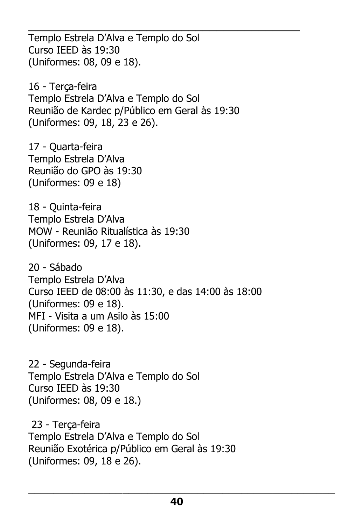\_\_\_\_\_\_\_\_\_\_\_\_\_\_\_\_\_\_\_\_\_\_\_\_\_\_\_\_\_\_\_\_\_\_\_\_\_\_\_ Templo Estrela D'Alva e Templo do Sol Curso IEED às 19:30 (Uniformes: 08, 09 e 18).

16 - Terça-feira Templo Estrela D'Alva e Templo do Sol Reunião de Kardec p/Público em Geral às 19:30 (Uniformes: 09, 18, 23 e 26).

17 - Quarta-feira Templo Estrela D'Alva Reunião do GPO às 19:30 (Uniformes: 09 e 18)

18 - Quinta-feira Templo Estrela D'Alva MOW - Reunião Ritualística às 19:30 (Uniformes: 09, 17 e 18).

20 - Sábado Templo Estrela D'Alva Curso IEED de 08:00 às 11:30, e das 14:00 às 18:00 (Uniformes: 09 e 18). MFI - Visita a um Asilo às 15:00 (Uniformes: 09 e 18).

22 - Segunda-feira Templo Estrela D'Alva e Templo do Sol Curso IEED às 19:30 (Uniformes: 08, 09 e 18.)

23 - Terça-feira Templo Estrela D'Alva e Templo do Sol Reunião Exotérica p/Público em Geral às 19:30 (Uniformes: 09, 18 e 26).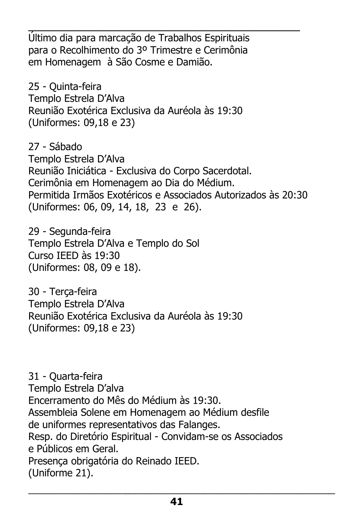\_\_\_\_\_\_\_\_\_\_\_\_\_\_\_\_\_\_\_\_\_\_\_\_\_\_\_\_\_\_\_\_\_\_\_\_\_\_\_ Último dia para marcação de Trabalhos Espirituais para o Recolhimento do 3º Trimestre e Cerimônia em Homenagem à São Cosme e Damião.

25 - Quinta-feira Templo Estrela D'Alva Reunião Exotérica Exclusiva da Auréola às 19:30 (Uniformes: 09,18 e 23)

27 - Sábado Templo Estrela D'Alva Reunião Iniciática - Exclusiva do Corpo Sacerdotal. Cerimônia em Homenagem ao Dia do Médium. Permitida Irmãos Exotéricos e Associados Autorizados às 20:30 (Uniformes: 06, 09, 14, 18, 23 e 26).

29 - Segunda-feira Templo Estrela D'Alva e Templo do Sol Curso IEED às 19:30 (Uniformes: 08, 09 e 18).

30 - Terça-feira Templo Estrela D'Alva Reunião Exotérica Exclusiva da Auréola às 19:30 (Uniformes: 09,18 e 23)

31 - Quarta-feira Templo Estrela D'alva Encerramento do Mês do Médium às 19:30. Assembleia Solene em Homenagem ao Médium desfile de uniformes representativos das Falanges. Resp. do Diretório Espiritual - Convidam-se os Associados e Públicos em Geral. Presença obrigatória do Reinado IEED. (Uniforme 21).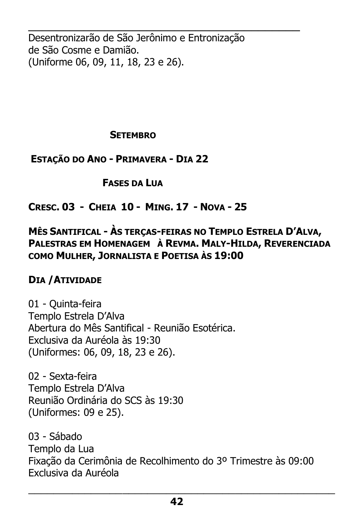\_\_\_\_\_\_\_\_\_\_\_\_\_\_\_\_\_\_\_\_\_\_\_\_\_\_\_\_\_\_\_\_\_\_\_\_\_\_\_ Desentronizarão de São Jerônimo e Entronização de São Cosme e Damião. (Uniforme 06, 09, 11, 18, 23 e 26).

#### **SETEMBRO**

**ESTAÇÃO DO ANO - PRIMAVERA - DIA 22** 

 **FASES DA LUA**

**CRESC. 03 - CHEIA 10 - MING. 17 - NOVA - 25** 

### **MÊS SANTIFICAL - ÀS TERÇAS-FEIRAS NO TEMPLO ESTRELA D'ALVA, PALESTRAS EM HOMENAGEM À REVMA. MALY-HILDA, REVERENCIADA COMO MULHER, JORNALISTA E POETISA ÀS 19:00**

### **DIA /ATIVIDADE**

01 - Quinta-feira Templo Estrela D'Alva Abertura do Mês Santifical - Reunião Esotérica. Exclusiva da Auréola às 19:30 (Uniformes: 06, 09, 18, 23 e 26).

02 - Sexta-feira Templo Estrela D'Alva Reunião Ordinária do SCS às 19:30 (Uniformes: 09 e 25).

03 - Sábado Templo da Lua Fixação da Cerimônia de Recolhimento do 3º Trimestre às 09:00 Exclusiva da Auréola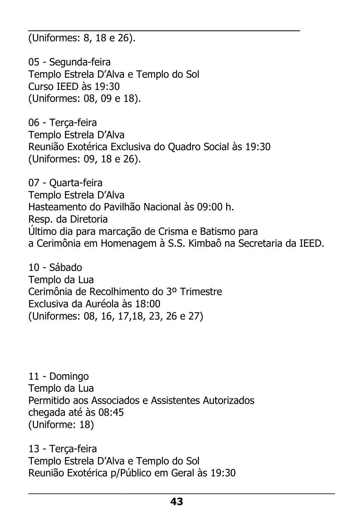\_\_\_\_\_\_\_\_\_\_\_\_\_\_\_\_\_\_\_\_\_\_\_\_\_\_\_\_\_\_\_\_\_\_\_\_\_\_\_ (Uniformes: 8, 18 e 26).

05 - Segunda-feira Templo Estrela D'Alva e Templo do Sol Curso IEED às 19:30 (Uniformes: 08, 09 e 18).

06 - Terça-feira Templo Estrela D'Alva Reunião Exotérica Exclusiva do Quadro Social às 19:30 (Uniformes: 09, 18 e 26).

07 - Quarta-feira Templo Estrela D'Alva Hasteamento do Pavilhão Nacional às 09:00 h. Resp. da Diretoria Último dia para marcação de Crisma e Batismo para a Cerimônia em Homenagem à S.S. Kimbaô na Secretaria da IEED.

10 - Sábado Templo da Lua Cerimônia de Recolhimento do 3º Trimestre Exclusiva da Auréola às 18:00 (Uniformes: 08, 16, 17,18, 23, 26 e 27)

11 - Domingo Templo da Lua Permitido aos Associados e Assistentes Autorizados chegada até às 08:45 (Uniforme: 18)

13 - Terça-feira Templo Estrela D'Alva e Templo do Sol Reunião Exotérica p/Público em Geral às 19:30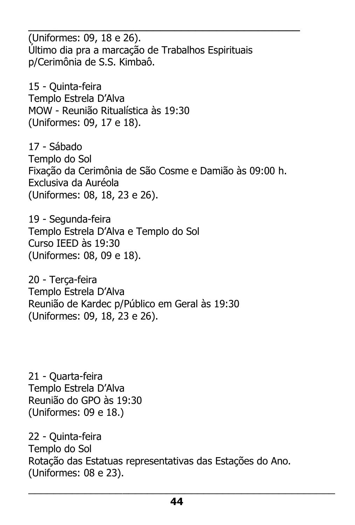\_\_\_\_\_\_\_\_\_\_\_\_\_\_\_\_\_\_\_\_\_\_\_\_\_\_\_\_\_\_\_\_\_\_\_\_\_\_\_ (Uniformes: 09, 18 e 26). Último dia pra a marcação de Trabalhos Espirituais p/Cerimônia de S.S. Kimbaô.

15 - Quinta-feira Templo Estrela D'Alva MOW - Reunião Ritualística às 19:30 (Uniformes: 09, 17 e 18).

17 - Sábado Templo do Sol Fixação da Cerimônia de São Cosme e Damião às 09:00 h. Exclusiva da Auréola (Uniformes: 08, 18, 23 e 26).

19 - Segunda-feira Templo Estrela D'Alva e Templo do Sol Curso IEED às 19:30 (Uniformes: 08, 09 e 18).

20 - Terça-feira Templo Estrela D'Alva Reunião de Kardec p/Público em Geral às 19:30 (Uniformes: 09, 18, 23 e 26).

21 - Quarta-feira Templo Estrela D'Alva Reunião do GPO às 19:30 (Uniformes: 09 e 18.)

22 - Quinta-feira Templo do Sol Rotação das Estatuas representativas das Estações do Ano. (Uniformes: 08 e 23).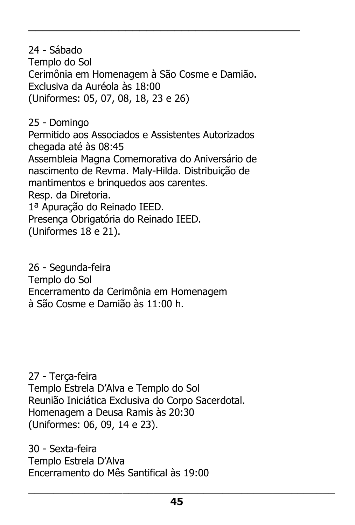24 - Sábado Templo do Sol Cerimônia em Homenagem à São Cosme e Damião. Exclusiva da Auréola às 18:00 (Uniformes: 05, 07, 08, 18, 23 e 26)

\_\_\_\_\_\_\_\_\_\_\_\_\_\_\_\_\_\_\_\_\_\_\_\_\_\_\_\_\_\_\_\_\_\_\_\_\_\_\_

25 - Domingo Permitido aos Associados e Assistentes Autorizados chegada até às 08:45 Assembleia Magna Comemorativa do Aniversário de nascimento de Revma. Maly-Hilda. Distribuição de mantimentos e brinquedos aos carentes. Resp. da Diretoria. 1ª Apuração do Reinado IEED. Presença Obrigatória do Reinado IEED. (Uniformes 18 e 21).

26 - Segunda-feira Templo do Sol Encerramento da Cerimônia em Homenagem à São Cosme e Damião às 11:00 h.

27 - Terça-feira Templo Estrela D'Alva e Templo do Sol Reunião Iniciática Exclusiva do Corpo Sacerdotal. Homenagem a Deusa Ramis às 20:30 (Uniformes: 06, 09, 14 e 23).

30 - Sexta-feira Templo Estrela D'Alva Encerramento do Mês Santifical às 19:00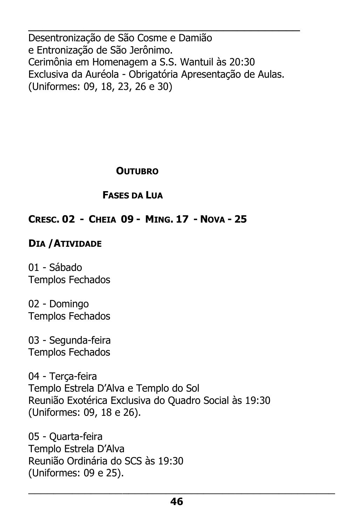\_\_\_\_\_\_\_\_\_\_\_\_\_\_\_\_\_\_\_\_\_\_\_\_\_\_\_\_\_\_\_\_\_\_\_\_\_\_\_ Desentronização de São Cosme e Damião e Entronização de São Jerônimo. Cerimônia em Homenagem a S.S. Wantuil às 20:30 Exclusiva da Auréola - Obrigatória Apresentação de Aulas. (Uniformes: 09, 18, 23, 26 e 30)

#### **OUTUBRO**

### **FASES DA LUA**

### **CRESC. 02 - CHEIA 09 - MING. 17 - NOVA - 25**

### **DIA /ATIVIDADE**

01 - Sábado Templos Fechados

02 - Domingo Templos Fechados

03 - Segunda-feira Templos Fechados

04 - Terça-feira Templo Estrela D'Alva e Templo do Sol Reunião Exotérica Exclusiva do Quadro Social às 19:30 (Uniformes: 09, 18 e 26).

05 - Quarta-feira Templo Estrela D'Alva Reunião Ordinária do SCS às 19:30 (Uniformes: 09 e 25).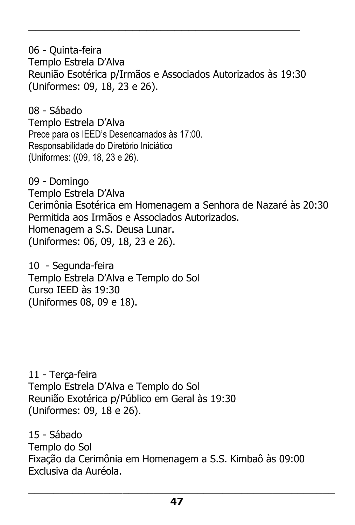06 - Quinta-feira Templo Estrela D'Alva Reunião Esotérica p/Irmãos e Associados Autorizados às 19:30 (Uniformes: 09, 18, 23 e 26).

\_\_\_\_\_\_\_\_\_\_\_\_\_\_\_\_\_\_\_\_\_\_\_\_\_\_\_\_\_\_\_\_\_\_\_\_\_\_\_

08 - Sábado Templo Estrela D'Alva Prece para os IEED's Desencarnados às 17:00. Responsabilidade do Diretório Iniciático (Uniformes: ((09, 18, 23 e 26).

09 - Domingo Templo Estrela D'Alva Cerimônia Esotérica em Homenagem a Senhora de Nazaré às 20:30 Permitida aos Irmãos e Associados Autorizados. Homenagem a S.S. Deusa Lunar. (Uniformes: 06, 09, 18, 23 e 26).

10 - Segunda-feira Templo Estrela D'Alva e Templo do Sol Curso IEED às 19:30 (Uniformes 08, 09 e 18).

11 - Terça-feira Templo Estrela D'Alva e Templo do Sol Reunião Exotérica p/Público em Geral às 19:30 (Uniformes: 09, 18 e 26).

15 - Sábado Templo do Sol Fixação da Cerimônia em Homenagem a S.S. Kimbaô às 09:00 Exclusiva da Auréola.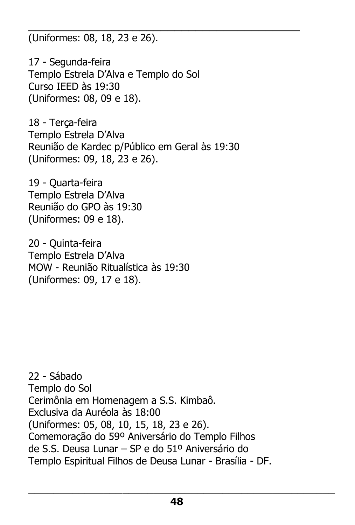\_\_\_\_\_\_\_\_\_\_\_\_\_\_\_\_\_\_\_\_\_\_\_\_\_\_\_\_\_\_\_\_\_\_\_\_\_\_\_ (Uniformes: 08, 18, 23 e 26).

17 - Segunda-feira Templo Estrela D'Alva e Templo do Sol Curso IEED às 19:30 (Uniformes: 08, 09 e 18).

18 - Terça-feira Templo Estrela D'Alva Reunião de Kardec p/Público em Geral às 19:30 (Uniformes: 09, 18, 23 e 26).

19 - Quarta-feira Templo Estrela D'Alva Reunião do GPO às 19:30 (Uniformes: 09 e 18).

20 - Quinta-feira Templo Estrela D'Alva MOW - Reunião Ritualística às 19:30 (Uniformes: 09, 17 e 18).

22 - Sábado Templo do Sol Cerimônia em Homenagem a S.S. Kimbaô. Exclusiva da Auréola às 18:00 (Uniformes: 05, 08, 10, 15, 18, 23 e 26). Comemoração do 59º Aniversário do Templo Filhos de S.S. Deusa Lunar – SP e do 51º Aniversário do Templo Espiritual Filhos de Deusa Lunar - Brasília - DF.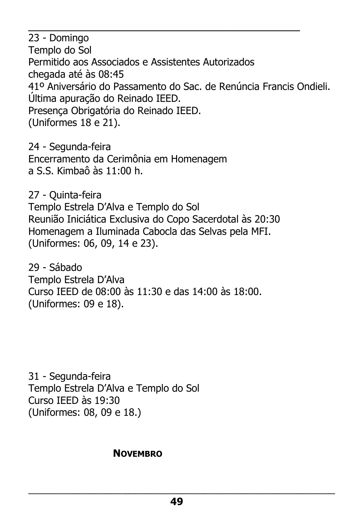23 - Domingo Templo do Sol Permitido aos Associados e Assistentes Autorizados chegada até às 08:45 41º Aniversário do Passamento do Sac. de Renúncia Francis Ondieli. Última apuração do Reinado IEED. Presença Obrigatória do Reinado IEED. (Uniformes 18 e 21).

\_\_\_\_\_\_\_\_\_\_\_\_\_\_\_\_\_\_\_\_\_\_\_\_\_\_\_\_\_\_\_\_\_\_\_\_\_\_\_

24 - Segunda-feira Encerramento da Cerimônia em Homenagem a S.S. Kimbaô às 11:00 h.

27 - Quinta-feira Templo Estrela D'Alva e Templo do Sol Reunião Iniciática Exclusiva do Copo Sacerdotal às 20:30 Homenagem a Iluminada Cabocla das Selvas pela MFI. (Uniformes: 06, 09, 14 e 23).

29 - Sábado Templo Estrela D'Alva Curso IEED de 08:00 às 11:30 e das 14:00 às 18:00. (Uniformes: 09 e 18).

31 - Segunda-feira Templo Estrela D'Alva e Templo do Sol Curso IEED às 19:30 (Uniformes: 08, 09 e 18.)

#### **NOVEMBRO**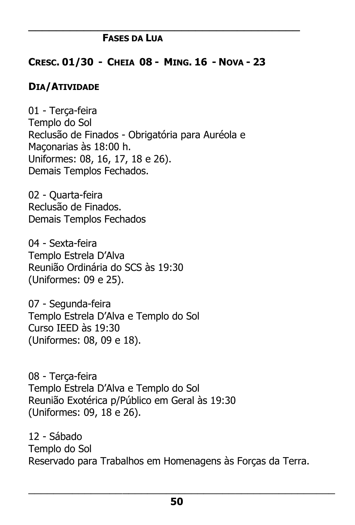#### **FASES DA LUA**

#### **CRESC. 01/30 - CHEIA 08 - MING. 16 - NOVA - 23**

\_\_\_\_\_\_\_\_\_\_\_\_\_\_\_\_\_\_\_\_\_\_\_\_\_\_\_\_\_\_\_\_\_\_\_\_\_\_\_

#### **DIA/ATIVIDADE**

01 - Terça-feira Templo do Sol Reclusão de Finados - Obrigatória para Auréola e Maçonarias às 18:00 h. Uniformes: 08, 16, 17, 18 e 26). Demais Templos Fechados.

02 - Quarta-feira Reclusão de Finados. Demais Templos Fechados

04 - Sexta-feira Templo Estrela D'Alva Reunião Ordinária do SCS às 19:30 (Uniformes: 09 e 25).

07 - Segunda-feira Templo Estrela D'Alva e Templo do Sol Curso IEED às 19:30 (Uniformes: 08, 09 e 18).

08 - Terça-feira Templo Estrela D'Alva e Templo do Sol Reunião Exotérica p/Público em Geral às 19:30 (Uniformes: 09, 18 e 26).

12 - Sábado Templo do Sol Reservado para Trabalhos em Homenagens às Forças da Terra.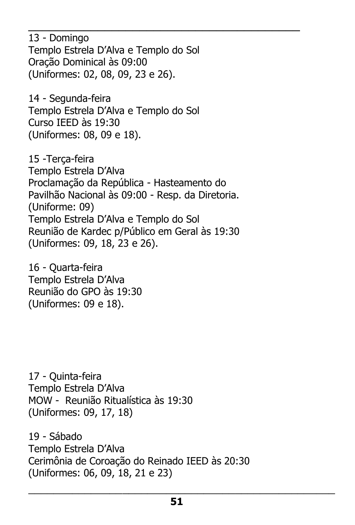13 - Domingo Templo Estrela D'Alva e Templo do Sol Oração Dominical às 09:00 (Uniformes: 02, 08, 09, 23 e 26).

\_\_\_\_\_\_\_\_\_\_\_\_\_\_\_\_\_\_\_\_\_\_\_\_\_\_\_\_\_\_\_\_\_\_\_\_\_\_\_

14 - Segunda-feira Templo Estrela D'Alva e Templo do Sol Curso IEED às 19:30 (Uniformes: 08, 09 e 18).

15 -Terça-feira Templo Estrela D'Alva Proclamação da República - Hasteamento do Pavilhão Nacional às 09:00 - Resp. da Diretoria. (Uniforme: 09) Templo Estrela D'Alva e Templo do Sol Reunião de Kardec p/Público em Geral às 19:30 (Uniformes: 09, 18, 23 e 26).

16 - Quarta-feira Templo Estrela D'Alva Reunião do GPO às 19:30 (Uniformes: 09 e 18).

17 - Quinta-feira Templo Estrela D'Alva MOW - Reunião Ritualística às 19:30 (Uniformes: 09, 17, 18)

19 - Sábado Templo Estrela D'Alva Cerimônia de Coroação do Reinado IEED às 20:30 (Uniformes: 06, 09, 18, 21 e 23)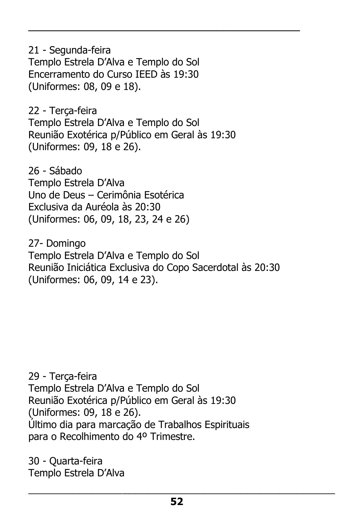21 - Segunda-feira Templo Estrela D'Alva e Templo do Sol Encerramento do Curso IEED às 19:30 (Uniformes: 08, 09 e 18).

22 - Terça-feira Templo Estrela D'Alva e Templo do Sol Reunião Exotérica p/Público em Geral às 19:30 (Uniformes: 09, 18 e 26).

\_\_\_\_\_\_\_\_\_\_\_\_\_\_\_\_\_\_\_\_\_\_\_\_\_\_\_\_\_\_\_\_\_\_\_\_\_\_\_

26 - Sábado Templo Estrela D'Alva Uno de Deus – Cerimônia Esotérica Exclusiva da Auréola às 20:30 (Uniformes: 06, 09, 18, 23, 24 e 26)

27- Domingo Templo Estrela D'Alva e Templo do Sol Reunião Iniciática Exclusiva do Copo Sacerdotal às 20:30 (Uniformes: 06, 09, 14 e 23).

29 - Terça-feira Templo Estrela D'Alva e Templo do Sol Reunião Exotérica p/Público em Geral às 19:30 (Uniformes: 09, 18 e 26). Último dia para marcação de Trabalhos Espirituais para o Recolhimento do 4º Trimestre.

30 - Quarta-feira Templo Estrela D'Alva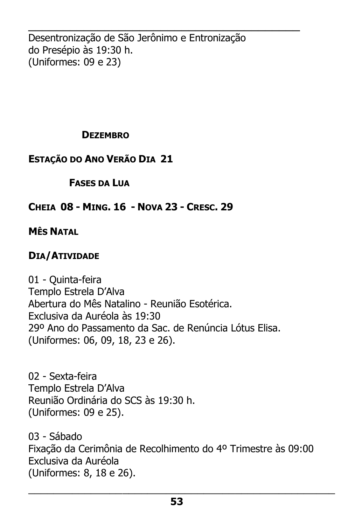\_\_\_\_\_\_\_\_\_\_\_\_\_\_\_\_\_\_\_\_\_\_\_\_\_\_\_\_\_\_\_\_\_\_\_\_\_\_\_ Desentronização de São Jerônimo e Entronização do Presépio às 19:30 h. (Uniformes: 09 e 23)

#### **DEZEMBRO**

### **ESTAÇÃO DO ANO VERÃO DIA 21**

### **FASES DA LUA**

### **CHEIA 08 - MING. 16 - NOVA 23 - CRESC. 29**

### **MÊS NATAL**

### **DIA/ATIVIDADE**

01 - Quinta-feira Templo Estrela D'Alva Abertura do Mês Natalino - Reunião Esotérica. Exclusiva da Auréola às 19:30 29º Ano do Passamento da Sac. de Renúncia Lótus Elisa. (Uniformes: 06, 09, 18, 23 e 26).

02 - Sexta-feira Templo Estrela D'Alva Reunião Ordinária do SCS às 19:30 h. (Uniformes: 09 e 25).

03 - Sábado Fixação da Cerimônia de Recolhimento do 4º Trimestre às 09:00 Exclusiva da Auréola (Uniformes: 8, 18 e 26).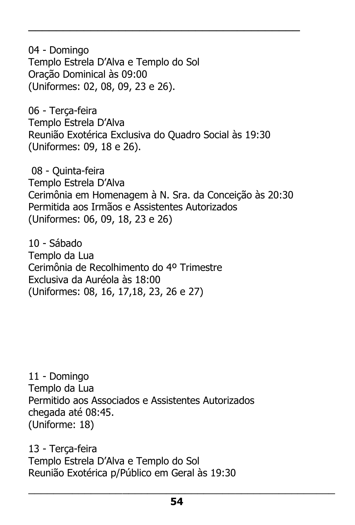04 - Domingo Templo Estrela D'Alva e Templo do Sol Oração Dominical às 09:00 (Uniformes: 02, 08, 09, 23 e 26).

06 - Terça-feira Templo Estrela D'Alva Reunião Exotérica Exclusiva do Quadro Social às 19:30 (Uniformes: 09, 18 e 26).

\_\_\_\_\_\_\_\_\_\_\_\_\_\_\_\_\_\_\_\_\_\_\_\_\_\_\_\_\_\_\_\_\_\_\_\_\_\_\_

08 - Quinta-feira Templo Estrela D'Alva Cerimônia em Homenagem à N. Sra. da Conceição às 20:30 Permitida aos Irmãos e Assistentes Autorizados (Uniformes: 06, 09, 18, 23 e 26)

10 - Sábado Templo da Lua Cerimônia de Recolhimento do 4º Trimestre Exclusiva da Auréola às 18:00 (Uniformes: 08, 16, 17,18, 23, 26 e 27)

11 - Domingo Templo da Lua Permitido aos Associados e Assistentes Autorizados chegada até 08:45. (Uniforme: 18)

13 - Terça-feira Templo Estrela D'Alva e Templo do Sol Reunião Exotérica p/Público em Geral às 19:30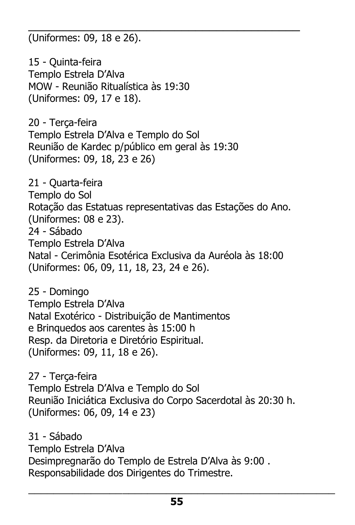\_\_\_\_\_\_\_\_\_\_\_\_\_\_\_\_\_\_\_\_\_\_\_\_\_\_\_\_\_\_\_\_\_\_\_\_\_\_\_ (Uniformes: 09, 18 e 26).

15 - Quinta-feira Templo Estrela D'Alva MOW - Reunião Ritualística às 19:30 (Uniformes: 09, 17 e 18).

20 - Terça-feira Templo Estrela D'Alva e Templo do Sol Reunião de Kardec p/público em geral às 19:30 (Uniformes: 09, 18, 23 e 26)

21 - Quarta-feira Templo do Sol Rotação das Estatuas representativas das Estações do Ano. (Uniformes: 08 e 23). 24 - Sábado Templo Estrela D'Alva Natal - Cerimônia Esotérica Exclusiva da Auréola às 18:00 (Uniformes: 06, 09, 11, 18, 23, 24 e 26).

25 - Domingo Templo Estrela D'Alva Natal Exotérico - Distribuição de Mantimentos e Brinquedos aos carentes às 15:00 h Resp. da Diretoria e Diretório Espiritual. (Uniformes: 09, 11, 18 e 26).

27 - Terça-feira Templo Estrela D'Alva e Templo do Sol Reunião Iniciática Exclusiva do Corpo Sacerdotal às 20:30 h. (Uniformes: 06, 09, 14 e 23)

31 - Sábado Templo Estrela D'Alva Desimpregnarão do Templo de Estrela D'Alva às 9:00 . Responsabilidade dos Dirigentes do Trimestre.